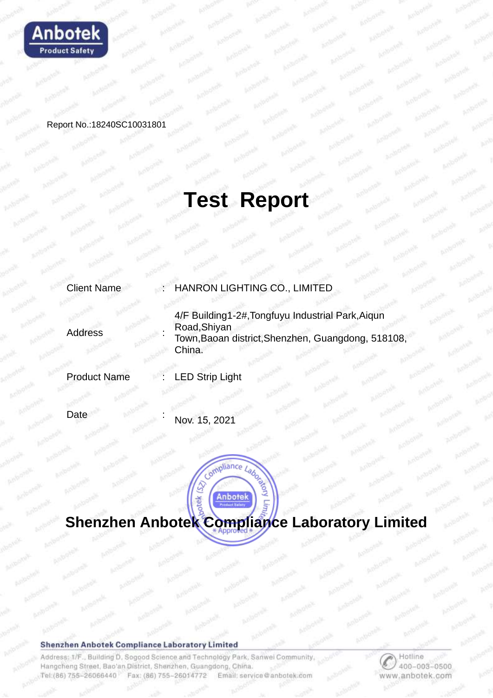

Report No.:18240SC10031801

## **Test Report**

| <b>Client Name</b>  | : HANRON LIGHTING CO., LIMITED                                                                                                    |  |
|---------------------|-----------------------------------------------------------------------------------------------------------------------------------|--|
| <b>Address</b>      | 4/F Building1-2#, Tongfuyu Industrial Park, Aiqun<br>Road, Shiyan<br>Town, Baoan district, Shenzhen, Guangdong, 518108,<br>China. |  |
| <b>Product Name</b> | <b>LED Strip Light</b>                                                                                                            |  |
|                     |                                                                                                                                   |  |

Date

Nov. 15, 2021

# **Shenzhen Anbotek Compliance Laboratory Limited**

#### **Shenzhen Anbotek Compliance Laboratory Limited**

Address: 1/F., Building D. Sogood Science and Technology Park, Sanwei Community Hangcheng Street, Bao'an District, Shenzhen, Guangdong, China. Tel: (86) 755-26066440 Fax: (86) 755-26014772 Email: service@anbotek.com

Hotline 400-003-0500 www.anbotek.com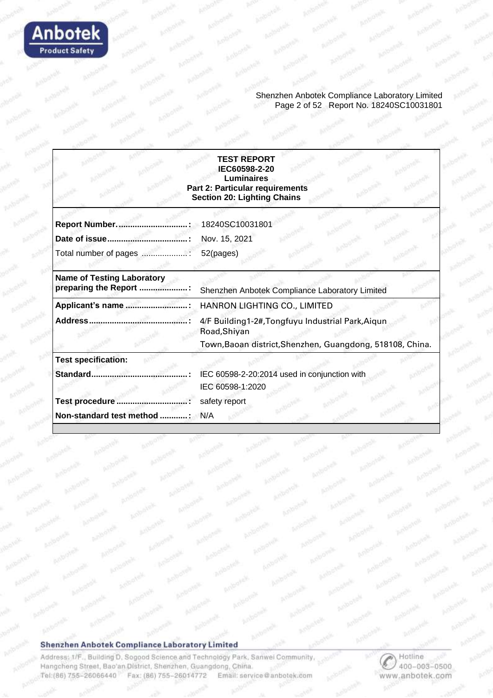

Shenzhen Anbotek Compliance Laboratory Limited Page 2 of 52 Report No. 18240SC10031801

#### **TEST REPORT IEC60598-2-20 Luminaires Part 2: Particular requirements Section 20: Lighting Chains**

| Report Number.                                            | 18240SC10031801                                                   |
|-----------------------------------------------------------|-------------------------------------------------------------------|
|                                                           | Nov. 15, 2021                                                     |
| Total number of pages                                     | 52(pages)                                                         |
| <b>Name of Testing Laboratory</b><br>preparing the Report | Shenzhen Anbotek Compliance Laboratory Limited                    |
| Applicant's name                                          | HANRON LIGHTING CO., LIMITED                                      |
| Address                                                   | 4/F Building1-2#, Tongfuyu Industrial Park, Aigun<br>Road, Shiyan |
|                                                           | Town, Baoan district, Shenzhen, Guangdong, 518108, China.         |
| <b>Test specification:</b>                                |                                                                   |
| Standard                                                  | IEC 60598-2-20:2014 used in conjunction with                      |
|                                                           | IEC 60598-1:2020                                                  |
| <b>Test procedure</b>                                     | safety report                                                     |
| Non-standard test method :                                | N/A                                                               |

#### Shenzhen Anbotek Compliance Laboratory Limited

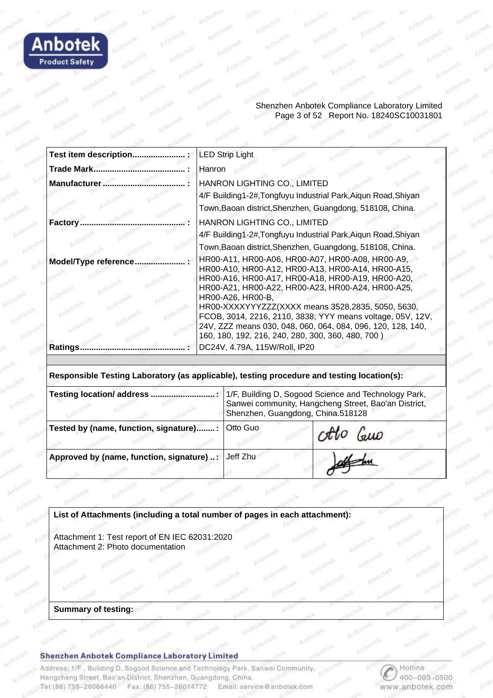

#### Shenzhen Anbotek Compliance Laboratory Limited Page 3 of 52 Report No. 18240SC10031801

| <b>LED Strip Light</b>                                                                                                                                                                                                                                                                                                                                  |
|---------------------------------------------------------------------------------------------------------------------------------------------------------------------------------------------------------------------------------------------------------------------------------------------------------------------------------------------------------|
| Hanron                                                                                                                                                                                                                                                                                                                                                  |
| HANRON LIGHTING CO., LIMITED<br>4/F Building1-2#, Tongfuyu Industrial Park, Aiqun Road, Shiyan<br>Town, Baoan district, Shenzhen, Guangdong, 518108, China.                                                                                                                                                                                             |
| HANRON LIGHTING CO., LIMITED<br>4/F Building1-2#, Tongfuyu Industrial Park, Aiqun Road, Shiyan<br>Town, Baoan district, Shenzhen, Guangdong, 518108, China.                                                                                                                                                                                             |
| HR00-A11, HR00-A06, HR00-A07, HR00-A08, HR00-A9,<br>HR00-A10, HR00-A12, HR00-A13, HR00-A14, HR00-A15,<br>HR00-A16, HR00-A17, HR00-A18, HR00-A19, HR00-A20,<br>HR00-A21, HR00-A22, HR00-A23, HR00-A24, HR00-A25,<br>HR00-A26, HR00-B,<br>HR00-XXXXYYYZZZ(XXXX means 3528,2835, 5050, 5630,<br>FCOB, 3014, 2216, 2110, 3838; YYY means voltage, 05V, 12V, |
| 24V, ZZZ means 030, 048, 060, 064, 084, 096, 120, 128, 140,<br>160, 180, 192, 216, 240, 280, 300, 360, 480, 700)<br>DC24V, 4.79A, 115W/Roll, IP20                                                                                                                                                                                                       |
|                                                                                                                                                                                                                                                                                                                                                         |

**Responsible Testing Laboratory (as applicable), testing procedure and testing location(s):**

| Testing location/ address.                         | 1/F, Building D, Sogood Science and Technology Park,<br>Sanwei community, Hangcheng Street, Bao'an District,<br>Shenzhen, Guangdong, China.518128 |          |  |
|----------------------------------------------------|---------------------------------------------------------------------------------------------------------------------------------------------------|----------|--|
| Tested by (name, function, signature):             | Otto Guo                                                                                                                                          | otto Guo |  |
| Approved by (name, function, signature) : Jeff Zhu |                                                                                                                                                   |          |  |

**List of Attachments (including a total number of pages in each attachment):** 

Attachment 1: Test report of EN IEC 62031:2020 Attachment 2: Photo documentation

#### **Summary of testing:**

#### Shenzhen Anbotek Compliance Laboratory Limited

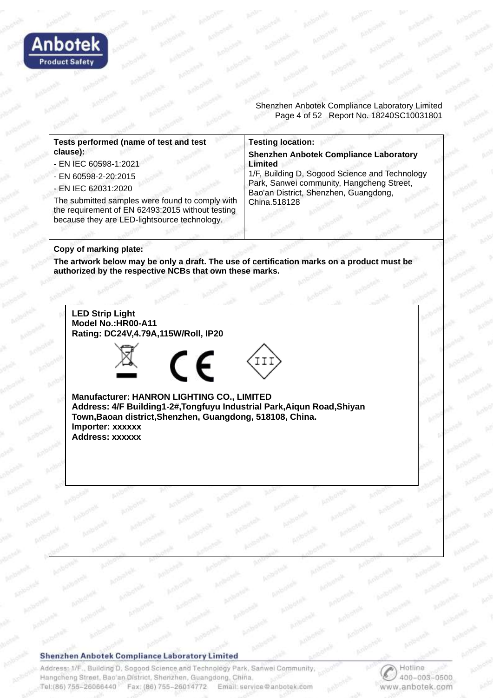

Shenzhen Anbotek Compliance Laboratory Limited Page 4 of 52 Report No. 18240SC10031801

**Tests performed (name of test and test clause):**

- EN IEC 60598-1:2021
- EN 60598-2-20:2015
- EN IEC 62031:2020

The submitted samples were found to comply with the requirement of EN 62493:2015 without testing because they are LED-lightsource technology.

#### **Testing location:**

**Shenzhen Anbotek Compliance Laboratory Limited**

1/F, Building D, Sogood Science and Technology Park, Sanwei community, Hangcheng Street, Bao'an District, Shenzhen, Guangdong, China.518128

#### **Copy of marking plate:**

**The artwork below may be only a draft. The use of certification marks on a product must be authorized by the respective NCBs that own these marks.**

**LED Strip Light Model No.:HR00-A11 Rating: DC24V,4.79A,115W/Roll, IP20**







**Manufacturer: HANRON LIGHTING CO., LIMITED Address: 4/F Building1-2#,Tongfuyu Industrial Park,Aiqun Road,Shiyan Town,Baoan district,Shenzhen, Guangdong, 518108, China. Importer: xxxxxx Address: xxxxxx**

#### **Shenzhen Anbotek Compliance Laboratory Limited**

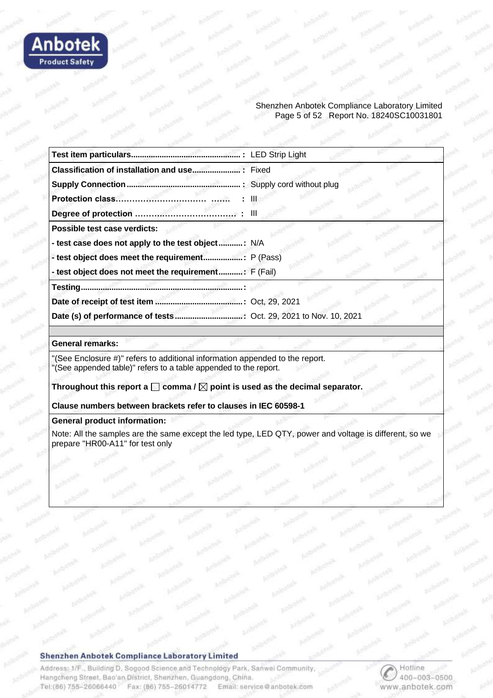

#### Shenzhen Anbotek Compliance Laboratory Limited Page 5 of 52 Report No. 18240SC10031801

| Possible test case verdicts:                          |  |
|-------------------------------------------------------|--|
| - test case does not apply to the test object: N/A    |  |
|                                                       |  |
| - test object does not meet the requirement: F (Fail) |  |
|                                                       |  |
|                                                       |  |
|                                                       |  |

#### **General remarks:**

"(See Enclosure #)" refers to additional information appended to the report. "(See appended table)" refers to a table appended to the report.

Throughout this report a  $\square$  comma /  $\square$  point is used as the decimal separator.

**Clause numbers between brackets refer to clauses in IEC 60598-1**

#### **General product information:**

Note: All the samples are the same except the led type, LED QTY, power and voltage is different, so we prepare "HR00-A11" for test only

#### Shenzhen Anbotek Compliance Laboratory Limited

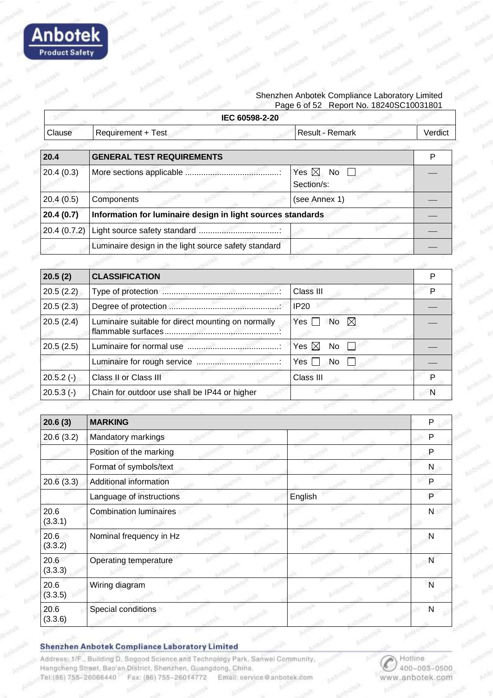

| Clause          | <b>Requirement + Test</b>                                   | Result - Remark                     |              |
|-----------------|-------------------------------------------------------------|-------------------------------------|--------------|
|                 |                                                             |                                     | Verdict      |
|                 |                                                             |                                     |              |
| 20.4            | <b>GENERAL TEST REQUIREMENTS</b>                            |                                     | P            |
| 20.4(0.3)       |                                                             | Yes $\boxtimes$<br>No<br>Section/s: |              |
| 20.4(0.5)       | Components                                                  | (see Annex 1)                       |              |
| 20.4(0.7)       | Information for luminaire design in light sources standards |                                     |              |
| 20.4 (0.7.2)    |                                                             |                                     |              |
|                 | Luminaire design in the light source safety standard        |                                     |              |
|                 |                                                             |                                     |              |
| 20.5(2)         | <b>CLASSIFICATION</b>                                       |                                     | P            |
| 20.5(2.2)       |                                                             | Class III                           | P            |
| 20.5(2.3)       |                                                             | <b>IP20</b>                         |              |
| 20.5(2.4)       | Luminaire suitable for direct mounting on normally          | $\boxtimes$<br>Yes<br>No            |              |
| 20.5(2.5)       |                                                             | Yes $\boxtimes$<br>No               |              |
|                 |                                                             | Yes<br>No                           |              |
| $20.5.2(-)$     | Class II or Class III                                       | Class III                           | P            |
| $20.5.3(-)$     | Chain for outdoor use shall be IP44 or higher               |                                     | N            |
|                 |                                                             |                                     |              |
| 20.6(3)         | <b>MARKING</b>                                              |                                     | P            |
| 20.6(3.2)       | Mandatory markings                                          |                                     | P            |
|                 | Position of the marking                                     |                                     | P            |
|                 | Format of symbols/text                                      |                                     | N            |
| 20.6(3.3)       | Additional information                                      |                                     | P            |
|                 | Language of instructions                                    | English                             | P            |
| 20.6<br>(3.3.1) | <b>Combination luminaires</b>                               |                                     | $\mathsf{N}$ |
| 20.6<br>(3.3.2) | Nominal frequency in Hz                                     |                                     | N            |
| 20.6<br>(3.3.3) | Operating temperature                                       |                                     | $\mathsf{N}$ |
| 20.6<br>(3.3.5) | Wiring diagram                                              |                                     | N            |
| 20.6<br>(3.3.6) | Special conditions                                          |                                     | $\mathsf{N}$ |

Shenzhen Anbotek Compliance Laboratory Limited

**Anbotek** 

**Product Safety**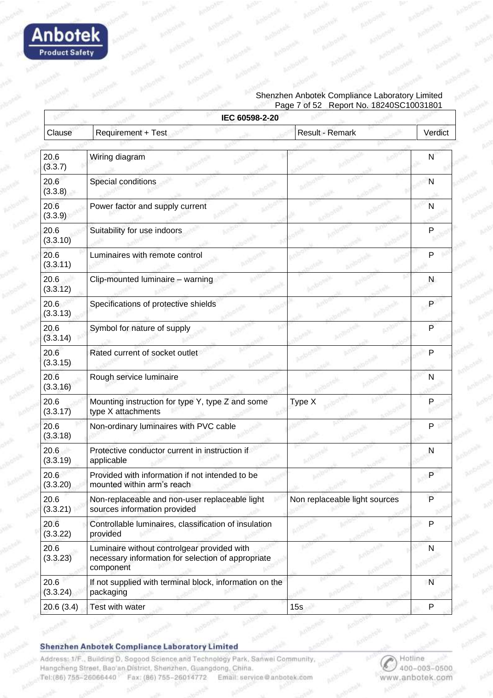

#### Shenzhen Anbotek Compliance Laboratory Limited Page 7 of 52 Report No. 18240SC10031801

|                  | IEC 60598-2-20                                                                                                 |                               |              |
|------------------|----------------------------------------------------------------------------------------------------------------|-------------------------------|--------------|
| Clause           | Requirement + Test                                                                                             | Result - Remark               | Verdict      |
|                  |                                                                                                                |                               |              |
| 20.6<br>(3.3.7)  | Wiring diagram                                                                                                 |                               | N            |
| 20.6<br>(3.3.8)  | Special conditions                                                                                             |                               | N            |
| 20.6<br>(3.3.9)  | Power factor and supply current                                                                                |                               | $\mathsf{N}$ |
| 20.6<br>(3.3.10) | Suitability for use indoors                                                                                    |                               | P            |
| 20.6<br>(3.3.11) | Luminaires with remote control                                                                                 |                               | P            |
| 20.6<br>(3.3.12) | Clip-mounted luminaire - warning                                                                               |                               | N            |
| 20.6<br>(3.3.13) | Specifications of protective shields                                                                           |                               | P            |
| 20.6<br>(3.3.14) | Symbol for nature of supply                                                                                    |                               | P            |
| 20.6<br>(3.3.15) | Rated current of socket outlet                                                                                 |                               | $\mathsf{P}$ |
| 20.6<br>(3.3.16) | Rough service luminaire                                                                                        |                               | N            |
| 20.6<br>(3.3.17) | Mounting instruction for type Y, type Z and some<br>type X attachments                                         | Type X                        | P            |
| 20.6<br>(3.3.18) | Non-ordinary luminaires with PVC cable                                                                         |                               | $P +$        |
| 20.6<br>(3.3.19) | Protective conductor current in instruction if<br>applicable                                                   |                               | N            |
| 20.6<br>(3.3.20) | Provided with information if not intended to be<br>mounted within arm's reach                                  |                               | P            |
| 20.6<br>(3.3.21) | Non-replaceable and non-user replaceable light<br>sources information provided                                 | Non replaceable light sources | P            |
| 20.6<br>(3.3.22) | Controllable luminaires, classification of insulation<br>provided                                              |                               | P            |
| 20.6<br>(3.3.23) | Luminaire without controlgear provided with<br>necessary information for selection of appropriate<br>component |                               | N            |
| 20.6<br>(3.3.24) | If not supplied with terminal block, information on the<br>packaging                                           |                               | N            |
| 20.6(3.4)        | Test with water                                                                                                | 15s                           | P            |

Shenzhen Anbotek Compliance Laboratory Limited

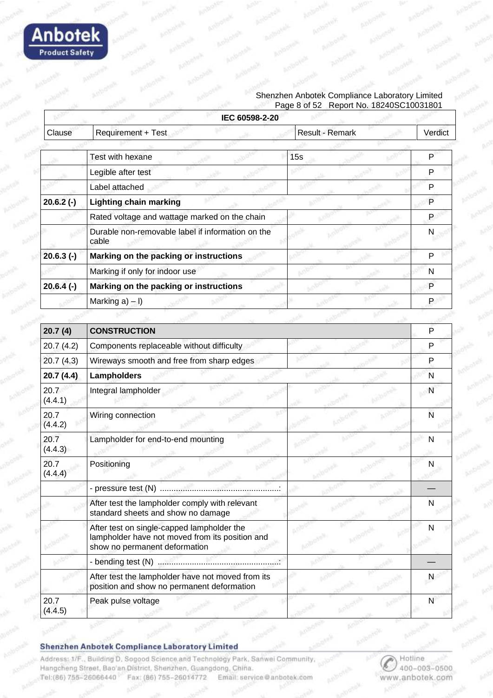

#### Shenzhen Anbotek Compliance Laboratory Limited Page 8 of 52 Report No. 18240SC10031801

|                 | IEC 60598-2-20                                                                                                                 |                 |           |
|-----------------|--------------------------------------------------------------------------------------------------------------------------------|-----------------|-----------|
| Clause          | Requirement + Test                                                                                                             | Result - Remark | Verdict   |
|                 | <b>Test with hexane</b>                                                                                                        | 15s             | P         |
|                 | Legible after test                                                                                                             |                 | P         |
|                 | Label attached                                                                                                                 |                 | P         |
| $20.6.2(-)$     | <b>Lighting chain marking</b>                                                                                                  |                 | P         |
|                 | Rated voltage and wattage marked on the chain                                                                                  |                 | P         |
|                 | Durable non-removable label if information on the<br>cable                                                                     |                 | N         |
| $20.6.3$ (-)    | Marking on the packing or instructions                                                                                         |                 | P         |
|                 | Marking if only for indoor use                                                                                                 |                 | N         |
| $20.6.4(-)$     | Marking on the packing or instructions                                                                                         |                 | P         |
|                 | Marking $a$ ) – I)                                                                                                             |                 | P         |
|                 |                                                                                                                                |                 |           |
| 20.7(4)         | <b>CONSTRUCTION</b>                                                                                                            |                 | P         |
| 20.7(4.2)       | Components replaceable without difficulty                                                                                      |                 | P         |
| 20.7(4.3)       | Wireways smooth and free from sharp edges                                                                                      |                 | P         |
| 20.7(4.4)       | <b>Lampholders</b>                                                                                                             |                 | N         |
| 20.7<br>(4.4.1) | Integral lampholder                                                                                                            |                 | N         |
| 20.7<br>(4.4.2) | Wiring connection                                                                                                              |                 | N         |
| 20.7<br>(4.4.3) | Lampholder for end-to-end mounting                                                                                             |                 | N         |
| 20.7<br>(4.4.4) | Positioning                                                                                                                    |                 | N         |
|                 |                                                                                                                                |                 |           |
|                 | After test the lampholder comply with relevant<br>standard sheets and show no damage                                           |                 | N         |
|                 | After test on single-capped lampholder the<br>lampholder have not moved from its position and<br>show no permanent deformation |                 | N         |
|                 |                                                                                                                                |                 |           |
|                 | After test the lampholder have not moved from its<br>position and show no permanent deformation                                |                 | N         |
| 20.7<br>(4.4.5) | Peak pulse voltage                                                                                                             |                 | ${\sf N}$ |

#### Shenzhen Anbotek Compliance Laboratory Limited

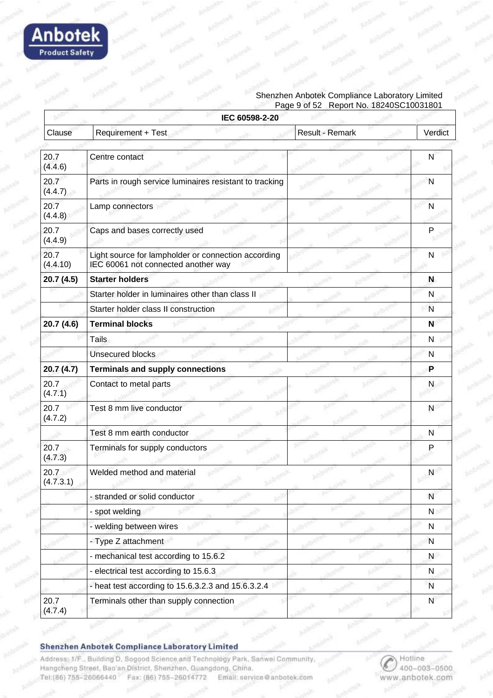

#### Shenzhen Anbotek Compliance Laboratory Limited Page 9 of 52 Report No. 18240SC10031801

|                   | IEC 60598-2-20                                                                             |                 |              |
|-------------------|--------------------------------------------------------------------------------------------|-----------------|--------------|
| Clause            | Requirement + Test                                                                         | Result - Remark | Verdict      |
|                   |                                                                                            |                 |              |
| 20.7<br>(4.4.6)   | Centre contact                                                                             |                 | N            |
| 20.7<br>(4.4.7)   | Parts in rough service luminaires resistant to tracking                                    |                 | N            |
| 20.7<br>(4.4.8)   | Lamp connectors                                                                            |                 | N            |
| 20.7<br>(4.4.9)   | Caps and bases correctly used                                                              |                 | P            |
| 20.7<br>(4.4.10)  | Light source for lampholder or connection according<br>IEC 60061 not connected another way |                 | N            |
| 20.7 (4.5)        | <b>Starter holders</b>                                                                     |                 | N            |
|                   | Starter holder in luminaires other than class II                                           |                 | N            |
|                   | Starter holder class II construction                                                       |                 | $\mathsf{N}$ |
| 20.7 (4.6)        | <b>Terminal blocks</b>                                                                     |                 | N            |
|                   | Tails                                                                                      |                 | N            |
|                   | <b>Unsecured blocks</b>                                                                    |                 | N            |
| 20.7(4.7)         | <b>Terminals and supply connections</b>                                                    |                 | P            |
| 20.7<br>(4.7.1)   | Contact to metal parts                                                                     |                 | N            |
| 20.7<br>(4.7.2)   | Test 8 mm live conductor                                                                   |                 | N            |
|                   | Test 8 mm earth conductor                                                                  |                 | N            |
| 20.7<br>(4.7.3)   | Terminals for supply conductors                                                            |                 | P            |
| 20.7<br>(4.7.3.1) | Welded method and material                                                                 |                 | N            |
|                   | - stranded or solid conductor                                                              |                 | N            |
|                   | - spot welding                                                                             |                 | $\mathsf{N}$ |
|                   | - welding between wires                                                                    |                 | N            |
|                   | - Type Z attachment                                                                        |                 | N            |
|                   | - mechanical test according to 15.6.2                                                      |                 | N            |
|                   | - electrical test according to 15.6.3                                                      |                 | N            |
|                   | - heat test according to 15.6.3.2.3 and 15.6.3.2.4                                         |                 | $\mathsf{N}$ |
| 20.7<br>(4.7.4)   | Terminals other than supply connection                                                     |                 | $\mathsf{N}$ |

#### Shenzhen Anbotek Compliance Laboratory Limited

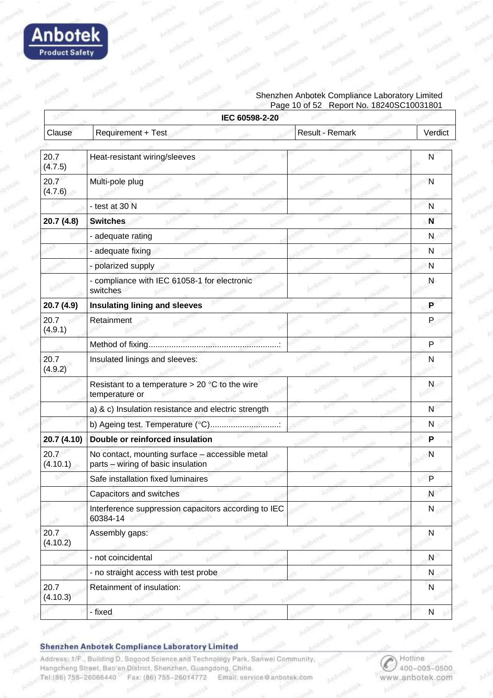

#### Shenzhen Anbotek Compliance Laboratory Limited Page 10 of 52 Report No. 18240SC10031801

| Clause           | Requirement + Test                                                                    | Result - Remark | Verdict      |
|------------------|---------------------------------------------------------------------------------------|-----------------|--------------|
|                  |                                                                                       |                 |              |
| 20.7<br>(4.7.5)  | Heat-resistant wiring/sleeves                                                         |                 | N            |
| 20.7<br>(4.7.6)  | Multi-pole plug                                                                       |                 | N            |
|                  | - test at 30 N                                                                        |                 | $\mathsf{N}$ |
| 20.7 (4.8)       | <b>Switches</b>                                                                       |                 | N            |
|                  | - adequate rating                                                                     |                 | N            |
|                  | - adequate fixing                                                                     |                 | N            |
|                  | - polarized supply                                                                    |                 | N            |
|                  | - compliance with IEC 61058-1 for electronic<br>switches                              |                 | N            |
| 20.7 (4.9)       | <b>Insulating lining and sleeves</b>                                                  |                 | P            |
| 20.7<br>(4.9.1)  | Retainment                                                                            |                 | P            |
|                  |                                                                                       |                 | P            |
| 20.7<br>(4.9.2)  | Insulated linings and sleeves:                                                        |                 | N            |
|                  | Resistant to a temperature $> 20$ °C to the wire<br>temperature or                    |                 | N            |
|                  | a) & c) Insulation resistance and electric strength                                   |                 | N            |
|                  | b) Ageing test. Temperature (°C)                                                      |                 | N            |
| 20.7 (4.10)      | Double or reinforced insulation                                                       |                 | P            |
| 20.7<br>(4.10.1) | No contact, mounting surface - accessible metal<br>parts - wiring of basic insulation |                 | N            |
|                  | Safe installation fixed luminaires                                                    |                 | P            |
|                  | Capacitors and switches                                                               |                 | N            |
|                  | Interference suppression capacitors according to IEC<br>60384-14                      |                 | N            |
| 20.7<br>(4.10.2) | Assembly gaps:                                                                        |                 | N            |
|                  | - not coincidental                                                                    |                 | N            |
|                  | - no straight access with test probe                                                  |                 | N            |
| 20.7<br>(4.10.3) | Retainment of insulation:                                                             |                 | N            |
|                  | - fixed                                                                               |                 | N            |

Shenzhen Anbotek Compliance Laboratory Limited

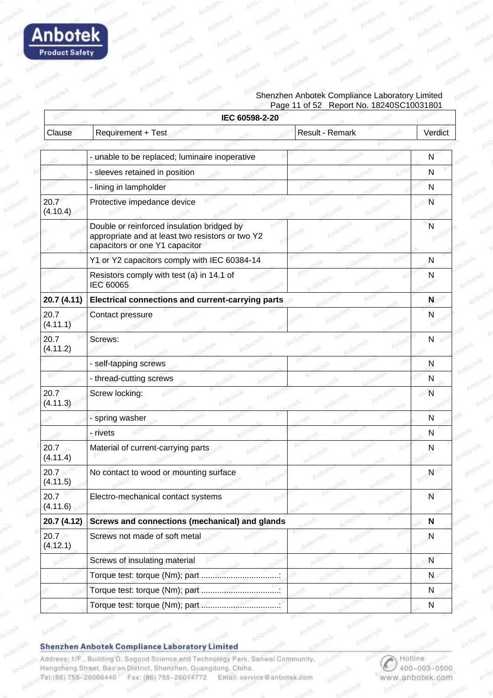

#### Shenzhen Anbotek Compliance Laboratory Limited Page 11 of 52 Report No. 18240SC10031801

|                  | IEC 60598-2-20                                                                                                                   |                 |              |
|------------------|----------------------------------------------------------------------------------------------------------------------------------|-----------------|--------------|
| Clause           | Requirement + Test                                                                                                               | Result - Remark | Verdict      |
|                  |                                                                                                                                  |                 |              |
|                  | - unable to be replaced; luminaire inoperative                                                                                   |                 | N            |
|                  | - sleeves retained in position                                                                                                   |                 | $\mathsf{N}$ |
|                  | - lining in lampholder                                                                                                           |                 | N            |
| 20.7<br>(4.10.4) | Protective impedance device                                                                                                      |                 | N            |
|                  | Double or reinforced insulation bridged by<br>appropriate and at least two resistors or two Y2<br>capacitors or one Y1 capacitor |                 | N            |
|                  | Y1 or Y2 capacitors comply with IEC 60384-14                                                                                     |                 | N            |
|                  | Resistors comply with test (a) in 14.1 of<br>IEC 60065                                                                           |                 | N            |
| 20.7 (4.11)      | <b>Electrical connections and current-carrying parts</b>                                                                         |                 | N            |
| 20.7<br>(4.11.1) | Contact pressure                                                                                                                 |                 | N            |
| 20.7<br>(4.11.2) | Screws:                                                                                                                          |                 | N            |
|                  | - self-tapping screws                                                                                                            |                 | N            |
|                  | - thread-cutting screws                                                                                                          |                 | N            |
| 20.7<br>(4.11.3) | Screw locking:                                                                                                                   |                 | N            |
|                  | - spring washer                                                                                                                  |                 | $\mathsf{N}$ |
|                  | - rivets                                                                                                                         |                 | N            |
| 20.7<br>(4.11.4) | Material of current-carrying parts                                                                                               |                 | N            |
| 20.7<br>(4.11.5) | No contact to wood or mounting surface                                                                                           |                 | N            |
| 20.7<br>(4.11.6) | Electro-mechanical contact systems                                                                                               |                 | N            |
| 20.7 (4.12)      | Screws and connections (mechanical) and glands                                                                                   |                 | N            |
| 20.7<br>(4.12.1) | Screws not made of soft metal                                                                                                    |                 | N            |
|                  | Screws of insulating material                                                                                                    |                 | N            |
|                  |                                                                                                                                  |                 | N            |
|                  |                                                                                                                                  |                 | N            |
|                  |                                                                                                                                  |                 | N            |

Shenzhen Anbotek Compliance Laboratory Limited

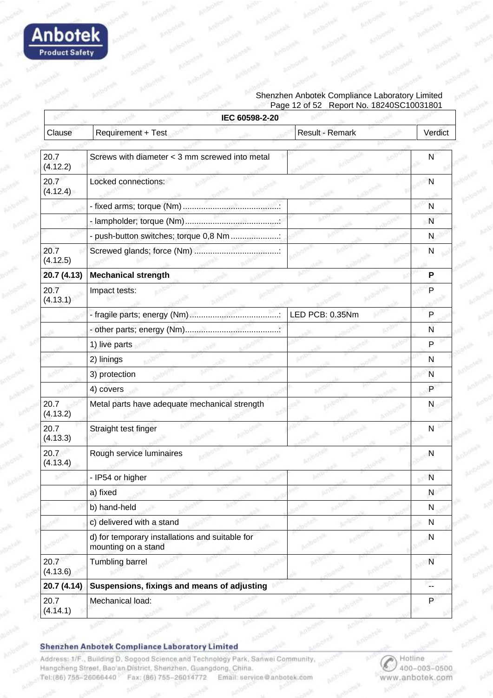

#### Shenzhen Anbotek Compliance Laboratory Limited Page 12 of 52 Report No. 18240SC10031801

|                  | IEC 60598-2-20                                                         |                 |              |
|------------------|------------------------------------------------------------------------|-----------------|--------------|
| Clause           | Requirement + Test                                                     | Result - Remark | Verdict      |
|                  |                                                                        |                 |              |
| 20.7<br>(4.12.2) | Screws with diameter < 3 mm screwed into metal                         |                 | N            |
| 20.7<br>(4.12.4) | Locked connections:                                                    |                 | N            |
|                  |                                                                        |                 | N            |
|                  |                                                                        |                 | N            |
|                  | - push-button switches; torque 0,8 Nm                                  |                 | N            |
| 20.7<br>(4.12.5) |                                                                        |                 | N            |
| 20.7 (4.13)      | <b>Mechanical strength</b>                                             |                 | P            |
| 20.7<br>(4.13.1) | Impact tests:                                                          |                 | P            |
|                  |                                                                        | LED PCB: 0.35Nm | P            |
|                  |                                                                        |                 | N            |
|                  | 1) live parts                                                          |                 | P            |
|                  | 2) linings                                                             |                 | N            |
|                  | 3) protection                                                          |                 | N            |
|                  | 4) covers                                                              |                 | P            |
| 20.7<br>(4.13.2) | Metal parts have adequate mechanical strength                          |                 | N            |
| 20.7<br>(4.13.3) | Straight test finger                                                   |                 | N            |
| 20.7<br>(4.13.4) | Rough service luminaires                                               |                 | N            |
|                  | - IP54 or higher                                                       |                 | $\mathsf{N}$ |
|                  | a) fixed                                                               |                 | N            |
|                  | b) hand-held                                                           |                 | N            |
|                  | c) delivered with a stand                                              |                 | N            |
|                  | d) for temporary installations and suitable for<br>mounting on a stand |                 | N            |
| 20.7<br>(4.13.6) | <b>Tumbling barrel</b>                                                 |                 | N            |
| 20.7 (4.14)      | Suspensions, fixings and means of adjusting                            |                 |              |
| 20.7<br>(4.14.1) | Mechanical load:                                                       |                 | P            |

Shenzhen Anbotek Compliance Laboratory Limited

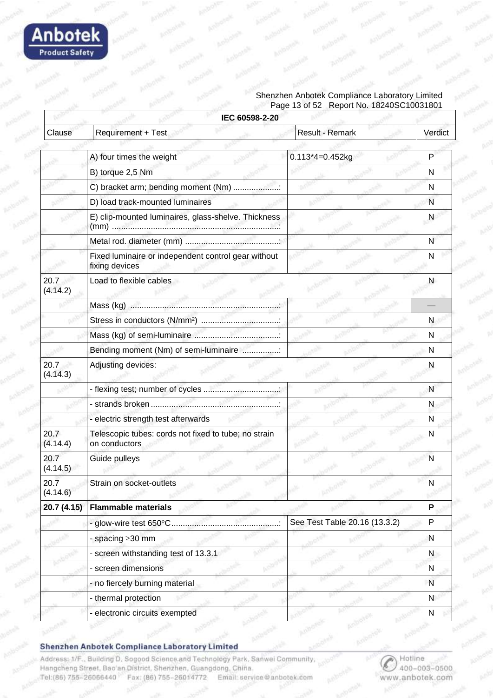

#### Shenzhen Anbotek Compliance Laboratory Limited Page 13 of 52 Report No. 18240SC10031801

| IEC 60598-2-20   |                                                                       |                               |              |  |
|------------------|-----------------------------------------------------------------------|-------------------------------|--------------|--|
| Clause           | Requirement + Test                                                    | Result - Remark               | Verdict      |  |
|                  |                                                                       |                               |              |  |
|                  | A) four times the weight                                              | $0.113*4=0.452kg$             | P            |  |
|                  | B) torque 2,5 Nm                                                      |                               | N            |  |
|                  | C) bracket arm; bending moment (Nm)                                   |                               | N            |  |
|                  | D) load track-mounted luminaires                                      |                               | N            |  |
|                  | E) clip-mounted luminaires, glass-shelve. Thickness                   |                               | N            |  |
|                  |                                                                       |                               | N            |  |
|                  | Fixed luminaire or independent control gear without<br>fixing devices |                               | N            |  |
| 20.7<br>(4.14.2) | Load to flexible cables                                               |                               | N            |  |
|                  |                                                                       |                               |              |  |
|                  |                                                                       |                               | N            |  |
|                  |                                                                       |                               | N            |  |
|                  | Bending moment (Nm) of semi-luminaire :                               |                               | N            |  |
| 20.7<br>(4.14.3) | Adjusting devices:                                                    |                               | N            |  |
|                  |                                                                       |                               | N            |  |
|                  |                                                                       |                               | N            |  |
|                  | - electric strength test afterwards                                   |                               | N            |  |
| 20.7<br>(4.14.4) | Telescopic tubes: cords not fixed to tube; no strain<br>on conductors |                               | N            |  |
| 20.7<br>(4.14.5) | Guide pulleys                                                         |                               | N            |  |
| 20.7<br>(4.14.6) | Strain on socket-outlets                                              |                               | N            |  |
| 20.7 (4.15)      | <b>Flammable materials</b>                                            |                               | P            |  |
|                  | - glow-wire test 650°C                                                | See Test Table 20.16 (13.3.2) | P            |  |
|                  | - spacing ≥30 mm                                                      |                               | N            |  |
|                  | - screen withstanding test of 13.3.1                                  |                               | N            |  |
|                  | - screen dimensions                                                   |                               | $\mathsf{N}$ |  |
|                  | - no fiercely burning material                                        |                               | N            |  |
|                  | - thermal protection                                                  |                               | $\mathsf{N}$ |  |
|                  | - electronic circuits exempted                                        |                               | N            |  |

#### Shenzhen Anbotek Compliance Laboratory Limited

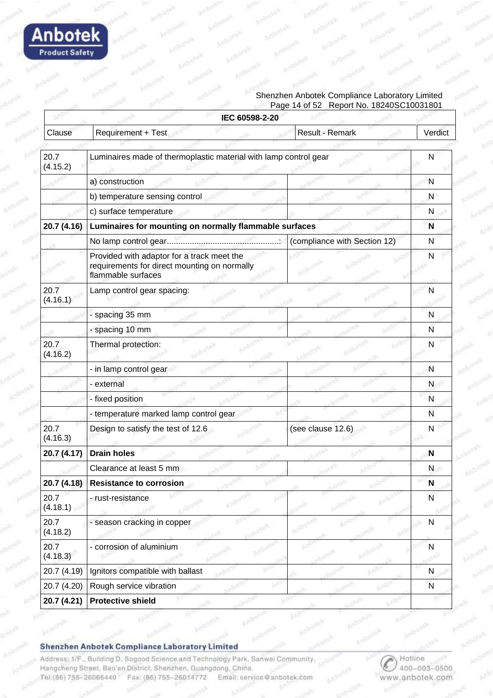

#### Shenzhen Anbotek Compliance Laboratory Limited Page 14 of 52 Report No. 18240SC10031801

|                  | IEC 60598-2-20                                                                                                   |                              |              |
|------------------|------------------------------------------------------------------------------------------------------------------|------------------------------|--------------|
| Clause           | Requirement + Test                                                                                               | Result - Remark              | Verdict      |
|                  |                                                                                                                  |                              |              |
| 20.7<br>(4.15.2) | Luminaires made of thermoplastic material with lamp control gear                                                 |                              | N            |
|                  | a) construction                                                                                                  |                              | N            |
|                  | b) temperature sensing control                                                                                   |                              | N            |
|                  | c) surface temperature                                                                                           |                              | N            |
| 20.7 (4.16)      | Luminaires for mounting on normally flammable surfaces                                                           |                              | N            |
|                  |                                                                                                                  | (compliance with Section 12) | N            |
|                  | Provided with adaptor for a track meet the<br>requirements for direct mounting on normally<br>flammable surfaces |                              | N            |
| 20.7<br>(4.16.1) | Lamp control gear spacing:                                                                                       |                              | N            |
|                  | - spacing 35 mm                                                                                                  |                              | N            |
|                  | - spacing 10 mm                                                                                                  |                              | N            |
| 20.7<br>(4.16.2) | Thermal protection:                                                                                              |                              | N            |
|                  | - in lamp control gear                                                                                           |                              | N            |
|                  | - external                                                                                                       |                              | N            |
|                  | - fixed position                                                                                                 |                              | N            |
|                  | - temperature marked lamp control gear                                                                           |                              | N            |
| 20.7<br>(4.16.3) | Design to satisfy the test of 12.6                                                                               | (see clause 12.6)            | N            |
| 20.7 (4.17)      | <b>Drain holes</b>                                                                                               |                              | N            |
|                  | Clearance at least 5 mm                                                                                          |                              | N            |
| 20.7 (4.18)      | <b>Resistance to corrosion</b>                                                                                   |                              | N            |
| 20.7<br>(4.18.1) | - rust-resistance                                                                                                |                              | N            |
| 20.7<br>(4.18.2) | - season cracking in copper                                                                                      |                              | N            |
| 20.7<br>(4.18.3) | - corrosion of aluminium                                                                                         |                              | N            |
| 20.7 (4.19)      | Ignitors compatible with ballast                                                                                 |                              | $\mathsf{N}$ |
| 20.7 (4.20)      | Rough service vibration                                                                                          |                              | ${\sf N}$    |
| 20.7 (4.21)      | <b>Protective shield</b>                                                                                         |                              |              |

Shenzhen Anbotek Compliance Laboratory Limited

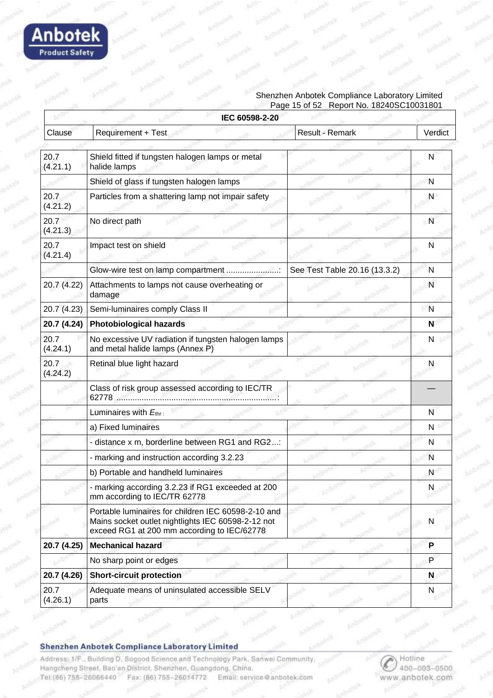

#### Shenzhen Anbotek Compliance Laboratory Limited Page 15 of 52 Report No. 18240SC10031801

|                  | IEC 60598-2-20                                                                                                                                           |                               |         |
|------------------|----------------------------------------------------------------------------------------------------------------------------------------------------------|-------------------------------|---------|
| Clause           | Requirement + Test                                                                                                                                       | Result - Remark               | Verdict |
|                  |                                                                                                                                                          |                               |         |
| 20.7<br>(4.21.1) | Shield fitted if tungsten halogen lamps or metal<br>halide lamps                                                                                         |                               | N       |
|                  | Shield of glass if tungsten halogen lamps                                                                                                                |                               | N       |
| 20.7<br>(4.21.2) | Particles from a shattering lamp not impair safety                                                                                                       |                               | N       |
| 20.7<br>(4.21.3) | No direct path                                                                                                                                           |                               | N       |
| 20.7<br>(4.21.4) | Impact test on shield                                                                                                                                    |                               | N       |
|                  | Glow-wire test on lamp compartment                                                                                                                       | See Test Table 20.16 (13.3.2) | N       |
| 20.7 (4.22)      | Attachments to lamps not cause overheating or<br>damage                                                                                                  |                               | N       |
| 20.7 (4.23)      | Semi-luminaires comply Class II                                                                                                                          |                               | N       |
| 20.7 (4.24)      | <b>Photobiological hazards</b>                                                                                                                           |                               | N       |
| 20.7<br>(4.24.1) | No excessive UV radiation if tungsten halogen lamps<br>and metal halide lamps (Annex P)                                                                  |                               | N       |
| 20.7<br>(4.24.2) | Retinal blue light hazard                                                                                                                                |                               | N       |
|                  | Class of risk group assessed according to IEC/TR                                                                                                         |                               |         |
|                  | Luminaires with Ethr:                                                                                                                                    |                               | N       |
|                  | a) Fixed luminaires                                                                                                                                      |                               | N       |
|                  | - distance x m, borderline between RG1 and RG2:                                                                                                          |                               | N       |
|                  | - marking and instruction according 3.2.23                                                                                                               |                               | N       |
|                  | b) Portable and handheld luminaires                                                                                                                      |                               | N       |
|                  | - marking according 3.2.23 if RG1 exceeded at 200<br>mm according to IEC/TR 62778                                                                        |                               | N       |
|                  | Portable luminaires for children IEC 60598-2-10 and<br>Mains socket outlet nightlights IEC 60598-2-12 not<br>exceed RG1 at 200 mm according to IEC/62778 |                               | N       |
| 20.7 (4.25)      | <b>Mechanical hazard</b>                                                                                                                                 |                               | P       |
|                  | No sharp point or edges                                                                                                                                  |                               | P       |
| 20.7 (4.26)      | <b>Short-circuit protection</b>                                                                                                                          |                               | N       |
| 20.7<br>(4.26.1) | Adequate means of uninsulated accessible SELV<br>parts                                                                                                   |                               | N       |

Shenzhen Anbotek Compliance Laboratory Limited

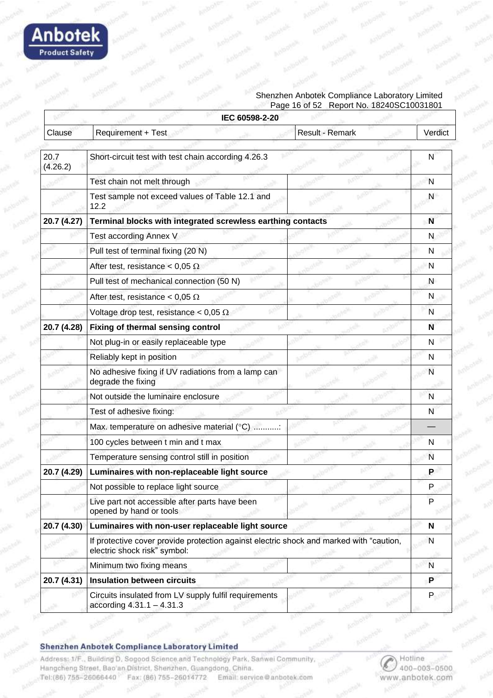

#### Shenzhen Anbotek Compliance Laboratory Limited Page 16 of 52 Report No. 18240SC10031801

|                  | IEC 60598-2-20                                                                                                          |                 |         |
|------------------|-------------------------------------------------------------------------------------------------------------------------|-----------------|---------|
| Clause           | <b>Requirement + Test</b>                                                                                               | Result - Remark | Verdict |
|                  |                                                                                                                         |                 |         |
| 20.7<br>(4.26.2) | Short-circuit test with test chain according 4.26.3                                                                     |                 | N       |
|                  | Test chain not melt through                                                                                             |                 | N       |
|                  | Test sample not exceed values of Table 12.1 and<br>12.2                                                                 |                 | N       |
| 20.7 (4.27)      | Terminal blocks with integrated screwless earthing contacts                                                             |                 | N       |
|                  | Test according Annex V                                                                                                  |                 | N       |
|                  | Pull test of terminal fixing (20 N)                                                                                     |                 | N       |
|                  | After test, resistance < 0,05 $\Omega$                                                                                  |                 | N       |
|                  | Pull test of mechanical connection (50 N)                                                                               |                 | N       |
|                  | After test, resistance < 0,05 $\Omega$                                                                                  |                 | N       |
|                  | Voltage drop test, resistance < 0,05 $\Omega$                                                                           |                 | N       |
| 20.7 (4.28)      | Fixing of thermal sensing control                                                                                       |                 | N       |
|                  | Not plug-in or easily replaceable type                                                                                  |                 | N       |
|                  | Reliably kept in position                                                                                               |                 | N       |
|                  | No adhesive fixing if UV radiations from a lamp can<br>degrade the fixing                                               |                 | N       |
|                  | Not outside the luminaire enclosure                                                                                     |                 | N       |
|                  | Test of adhesive fixing:                                                                                                |                 | N       |
|                  | Max. temperature on adhesive material (°C) :                                                                            |                 |         |
|                  | 100 cycles between t min and t max                                                                                      |                 | N       |
|                  | Temperature sensing control still in position                                                                           |                 | N       |
| 20.7 (4.29)      | Luminaires with non-replaceable light source                                                                            |                 | P       |
|                  | Not possible to replace light source                                                                                    |                 | P       |
|                  | Live part not accessible after parts have been<br>opened by hand or tools                                               |                 | P       |
| 20.7 (4.30)      | Luminaires with non-user replaceable light source                                                                       |                 | N       |
|                  | If protective cover provide protection against electric shock and marked with "caution,<br>electric shock risk" symbol: |                 | N       |
|                  | Minimum two fixing means                                                                                                |                 | N       |
| 20.7 (4.31)      | <b>Insulation between circuits</b>                                                                                      |                 | P       |
|                  | Circuits insulated from LV supply fulfil requirements<br>according $4.31.1 - 4.31.3$                                    |                 | P       |

Shenzhen Anbotek Compliance Laboratory Limited

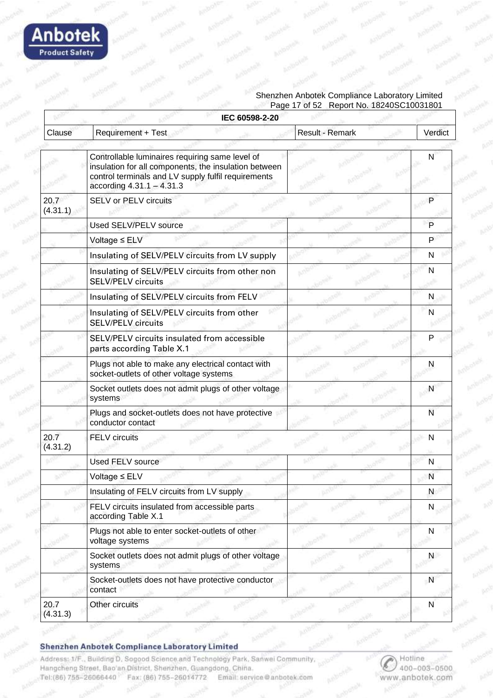

#### Shenzhen Anbotek Compliance Laboratory Limited Page 17 of 52 Report No. 18240SC10031801

|                  | IEC 60598-2-20                                                                                                                                                                                 |                 |              |
|------------------|------------------------------------------------------------------------------------------------------------------------------------------------------------------------------------------------|-----------------|--------------|
| Clause           | Requirement + Test                                                                                                                                                                             | Result - Remark | Verdict      |
|                  |                                                                                                                                                                                                |                 |              |
|                  | Controllable luminaires requiring same level of<br>insulation for all components, the insulation between<br>control terminals and LV supply fulfil requirements<br>according $4.31.1 - 4.31.3$ |                 | N            |
| 20.7<br>(4.31.1) | SELV or PELV circuits                                                                                                                                                                          |                 | Р            |
|                  | Used SELV/PELV source                                                                                                                                                                          |                 | P            |
|                  | Voltage ≤ ELV                                                                                                                                                                                  |                 | P            |
|                  | Insulating of SELV/PELV circuits from LV supply                                                                                                                                                |                 | N            |
|                  | Insulating of SELV/PELV circuits from other non<br><b>SELV/PELV circuits</b>                                                                                                                   |                 | N            |
|                  | Insulating of SELV/PELV circuits from FELV                                                                                                                                                     |                 | N            |
|                  | Insulating of SELV/PELV circuits from other<br><b>SELV/PELV circuits</b>                                                                                                                       |                 | N            |
|                  | SELV/PELV circuits insulated from accessible<br>parts according Table X.1                                                                                                                      |                 | P            |
|                  | Plugs not able to make any electrical contact with<br>socket-outlets of other voltage systems                                                                                                  |                 | N            |
|                  | Socket outlets does not admit plugs of other voltage<br>systems                                                                                                                                |                 | N            |
|                  | Plugs and socket-outlets does not have protective<br>conductor contact                                                                                                                         |                 | N            |
| 20.7<br>(4.31.2) | <b>FELV</b> circuits                                                                                                                                                                           |                 | N            |
|                  | <b>Used FELV source</b>                                                                                                                                                                        |                 | N            |
|                  | Voltage ≤ ELV                                                                                                                                                                                  |                 | N            |
|                  | Insulating of FELV circuits from LV supply                                                                                                                                                     |                 | N            |
|                  | FELV circuits insulated from accessible parts<br>according Table X.1                                                                                                                           |                 | N            |
|                  | Plugs not able to enter socket-outlets of other<br>voltage systems                                                                                                                             |                 | N            |
|                  | Socket outlets does not admit plugs of other voltage<br>systems                                                                                                                                |                 | N            |
|                  | Socket-outlets does not have protective conductor<br>contact                                                                                                                                   |                 | $\mathsf{N}$ |
| 20.7<br>(4.31.3) | Other circuits                                                                                                                                                                                 |                 | N            |

#### Shenzhen Anbotek Compliance Laboratory Limited

Address: 1/F., Building D. Sogood Science and Technology Park, Sanwei Community, Hangcheng Street, Bao'an District, Shenzhen, Guangdong, China. Email: service@anbotek.com Tel:(86) 755-26066440 Fax: (86) 755-26014772

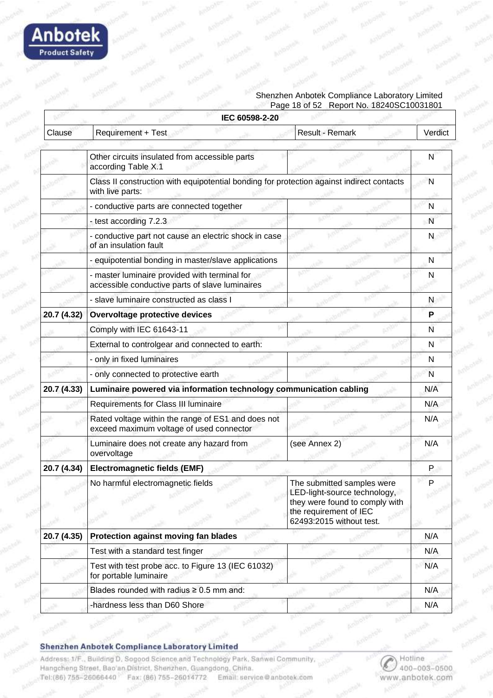

#### Shenzhen Anbotek Compliance Laboratory Limited Page 18 of 52 Report No. 18240SC10031801

| IEC 60598-2-20 |                                                                                                               |                                                                                                                                                    |         |
|----------------|---------------------------------------------------------------------------------------------------------------|----------------------------------------------------------------------------------------------------------------------------------------------------|---------|
| Clause         | Requirement + Test                                                                                            | Result - Remark                                                                                                                                    | Verdict |
|                |                                                                                                               |                                                                                                                                                    |         |
|                | Other circuits insulated from accessible parts<br>according Table X.1                                         |                                                                                                                                                    | N       |
|                | Class II construction with equipotential bonding for protection against indirect contacts<br>with live parts: |                                                                                                                                                    | N       |
|                | - conductive parts are connected together                                                                     |                                                                                                                                                    | N       |
|                | - test according 7.2.3                                                                                        |                                                                                                                                                    | N       |
|                | - conductive part not cause an electric shock in case<br>of an insulation fault                               |                                                                                                                                                    | N       |
|                | - equipotential bonding in master/slave applications                                                          |                                                                                                                                                    | N       |
|                | - master luminaire provided with terminal for<br>accessible conductive parts of slave luminaires              |                                                                                                                                                    | N       |
|                | - slave luminaire constructed as class I                                                                      |                                                                                                                                                    | N       |
| 20.7 (4.32)    | Overvoltage protective devices                                                                                |                                                                                                                                                    | P       |
|                | Comply with IEC 61643-11                                                                                      |                                                                                                                                                    | N       |
|                | External to controlgear and connected to earth:                                                               |                                                                                                                                                    | N       |
|                | - only in fixed luminaires                                                                                    |                                                                                                                                                    | N       |
|                | - only connected to protective earth                                                                          |                                                                                                                                                    | N       |
| 20.7 (4.33)    | Luminaire powered via information technology communication cabling                                            |                                                                                                                                                    | N/A     |
|                | Requirements for Class III luminaire                                                                          |                                                                                                                                                    | N/A     |
|                | Rated voltage within the range of ES1 and does not<br>exceed maximum voltage of used connector                |                                                                                                                                                    | N/A     |
|                | Luminaire does not create any hazard from<br>overvoltage                                                      | (see Annex 2)                                                                                                                                      | N/A     |
| 20.7 (4.34)    | <b>Electromagnetic fields (EMF)</b>                                                                           |                                                                                                                                                    | P       |
|                | No harmful electromagnetic fields                                                                             | The submitted samples were<br>LED-light-source technology,<br>they were found to comply with<br>the requirement of IEC<br>62493:2015 without test. |         |
| 20.7 (4.35)    | Protection against moving fan blades                                                                          |                                                                                                                                                    | N/A     |
|                | Test with a standard test finger                                                                              |                                                                                                                                                    | N/A     |
|                | Test with test probe acc. to Figure 13 (IEC 61032)<br>for portable luminaire                                  |                                                                                                                                                    | N/A     |
|                | Blades rounded with radius $\geq 0.5$ mm and:                                                                 |                                                                                                                                                    | N/A     |
|                | -hardness less than D60 Shore                                                                                 |                                                                                                                                                    | N/A     |

Shenzhen Anbotek Compliance Laboratory Limited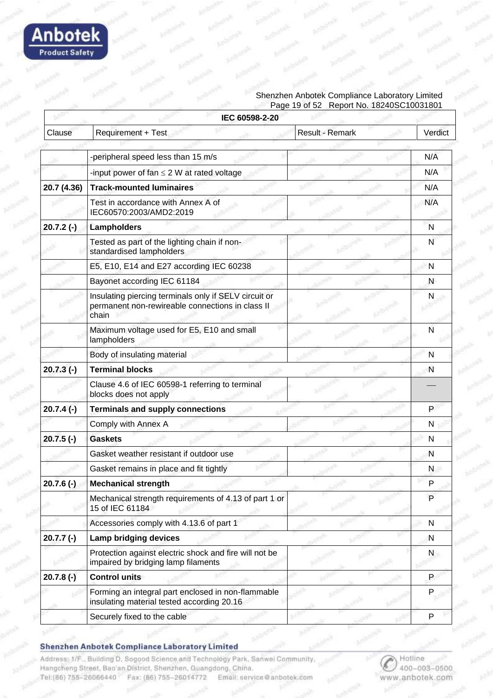

#### Shenzhen Anbotek Compliance Laboratory Limited Page 19 of 52 Report No. 18240SC10031801

|              | IEC 60598-2-20                                                                                                     |                 |              |
|--------------|--------------------------------------------------------------------------------------------------------------------|-----------------|--------------|
| Clause       | Requirement + Test                                                                                                 | Result - Remark | Verdict      |
|              |                                                                                                                    |                 |              |
|              | -peripheral speed less than 15 m/s                                                                                 |                 | N/A          |
|              | -input power of fan $\leq$ 2 W at rated voltage                                                                    |                 | N/A          |
| 20.7 (4.36)  | <b>Track-mounted luminaires</b>                                                                                    |                 | N/A          |
|              | Test in accordance with Annex A of<br>IEC60570:2003/AMD2:2019                                                      |                 | N/A          |
| $20.7.2(-)$  | Lampholders                                                                                                        |                 | N            |
|              | Tested as part of the lighting chain if non-<br>standardised lampholders                                           |                 | N            |
|              | E5, E10, E14 and E27 according IEC 60238                                                                           |                 | N            |
|              | Bayonet according IEC 61184                                                                                        |                 | N            |
|              | Insulating piercing terminals only if SELV circuit or<br>permanent non-rewireable connections in class II<br>chain |                 | N            |
|              | Maximum voltage used for E5, E10 and small<br>lampholders                                                          |                 | N            |
|              | Body of insulating material                                                                                        |                 | N            |
| $20.7.3$ (-) | <b>Terminal blocks</b>                                                                                             |                 | N            |
|              | Clause 4.6 of IEC 60598-1 referring to terminal<br>blocks does not apply                                           |                 |              |
| $20.7.4(-)$  | <b>Terminals and supply connections</b>                                                                            |                 | P            |
|              | Comply with Annex A                                                                                                |                 | N            |
| $20.7.5$ (-) | <b>Gaskets</b>                                                                                                     |                 | N            |
|              | Gasket weather resistant if outdoor use                                                                            |                 | N            |
|              | Gasket remains in place and fit tightly                                                                            |                 | N.           |
| $20.7.6(-)$  | <b>Mechanical strength</b>                                                                                         |                 | Р            |
|              | Mechanical strength requirements of 4.13 of part 1 or<br>15 of IEC 61184                                           |                 | P            |
|              | Accessories comply with 4.13.6 of part 1                                                                           |                 | $\mathsf{N}$ |
| $20.7.7(-)$  | <b>Lamp bridging devices</b>                                                                                       |                 | N            |
|              | Protection against electric shock and fire will not be<br>impaired by bridging lamp filaments                      |                 | N            |
| $20.7.8(-)$  | <b>Control units</b>                                                                                               |                 | P            |
|              | Forming an integral part enclosed in non-flammable<br>insulating material tested according 20.16                   |                 | P            |
|              | Securely fixed to the cable                                                                                        |                 | P            |

Shenzhen Anbotek Compliance Laboratory Limited

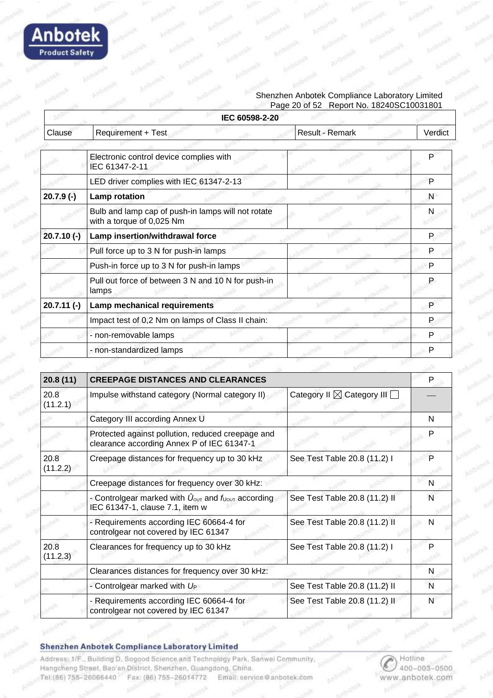

#### Shenzhen Anbotek Compliance Laboratory Limited Page 20 of 52 Report No. 18240SC10031801

|              | IEC 60598-2-20                                                                  |                 |         |
|--------------|---------------------------------------------------------------------------------|-----------------|---------|
| Clause       | Requirement + Test                                                              | Result - Remark | Verdict |
|              |                                                                                 |                 |         |
|              | Electronic control device complies with<br>IEC 61347-2-11                       |                 | P       |
|              | LED driver complies with IEC 61347-2-13                                         |                 | P       |
| $20.7.9(-)$  | <b>Lamp rotation</b>                                                            |                 | N       |
|              | Bulb and lamp cap of push-in lamps will not rotate<br>with a torque of 0,025 Nm |                 | N       |
| $20.7.10(-)$ | Lamp insertion/withdrawal force                                                 |                 | P       |
|              | Pull force up to 3 N for push-in lamps                                          |                 | P       |
|              | Push-in force up to 3 N for push-in lamps                                       |                 | P       |
|              | Pull out force of between 3 N and 10 N for push-in<br>lamps                     |                 | P       |
| $20.7.11(-)$ | Lamp mechanical requirements                                                    |                 | P       |
|              | Impact test of 0,2 Nm on lamps of Class II chain:                               |                 |         |
|              | - non-removable lamps                                                           |                 | P       |
|              | - non-standardized lamps                                                        |                 | P       |

| 20.8(11)         | <b>CREEPAGE DISTANCES AND CLEARANCES</b>                                                                            |                                             | P |
|------------------|---------------------------------------------------------------------------------------------------------------------|---------------------------------------------|---|
| 20.8<br>(11.2.1) | Impulse withstand category (Normal category II)                                                                     | Category II $\boxtimes$ Category III $\Box$ |   |
|                  | Category III according Annex U                                                                                      |                                             | N |
|                  | Protected against pollution, reduced creepage and<br>clearance according Annex P of IEC 61347-1                     |                                             | P |
| 20.8<br>(11.2.2) | Creepage distances for frequency up to 30 kHz                                                                       | See Test Table 20.8 (11.2) I                | P |
|                  | Creepage distances for frequency over 30 kHz:                                                                       |                                             | N |
|                  | - Controlgear marked with $\hat{U}_{\text{OUT}}$ and $f_{\text{UOUT}}$ according<br>IEC 61347-1, clause 7.1, item w | See Test Table 20.8 (11.2) II               | N |
|                  | - Requirements according IEC 60664-4 for<br>controlgear not covered by IEC 61347                                    | See Test Table 20.8 (11.2) II               | N |
| 20.8<br>(11.2.3) | Clearances for frequency up to 30 kHz                                                                               | See Test Table 20.8 (11.2) I                | Р |
|                  | Clearances distances for frequency over 30 kHz:                                                                     |                                             | N |
|                  | - Controlgear marked with $U_P$                                                                                     | See Test Table 20.8 (11.2) II               | N |
|                  | - Requirements according IEC 60664-4 for<br>controlgear not covered by IEC 61347                                    | See Test Table 20.8 (11.2) II               | N |

Shenzhen Anbotek Compliance Laboratory Limited

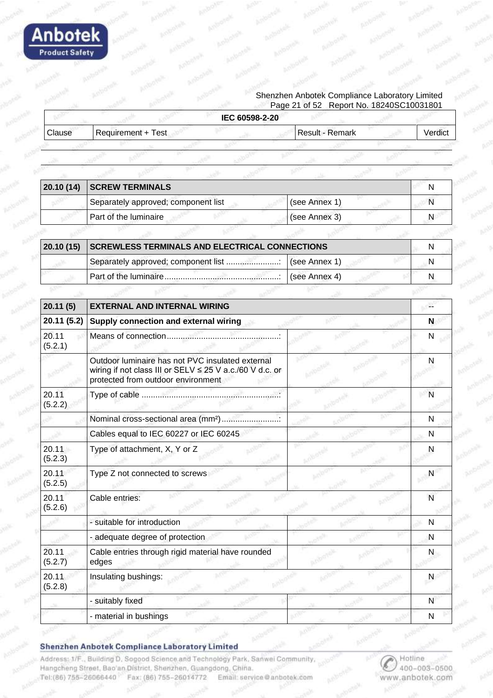

#### Shenzhen Anbotek Compliance Laboratory Limited Page 21 of 52 Report No. 18240SC10031801

|        |                    | IEC 60598-2-20  |         |
|--------|--------------------|-----------------|---------|
| Clause | Requirement + Test | Result - Remark | Verdic. |
|        |                    |                 |         |

| 20.10(14) | <b>SCREW TERMINALS</b>                                |               |  |
|-----------|-------------------------------------------------------|---------------|--|
|           | Separately approved; component list                   | (see Annex 1) |  |
|           | Part of the luminaire                                 | (see Annex 3) |  |
|           |                                                       |               |  |
| 20.10(15) | <b>SCREWLESS TERMINALS AND ELECTRICAL CONNECTIONS</b> |               |  |
|           | Separately approved; component list                   | (see Annex 1) |  |
|           |                                                       | (see Annex 4) |  |

| 20.11(5)         | <b>EXTERNAL AND INTERNAL WIRING</b>                                                                                                                |              |
|------------------|----------------------------------------------------------------------------------------------------------------------------------------------------|--------------|
| 20.11 (5.2)      | Supply connection and external wiring                                                                                                              |              |
| 20.11<br>(5.2.1) |                                                                                                                                                    |              |
|                  | Outdoor luminaire has not PVC insulated external<br>wiring if not class III or SELV ≤ 25 V a.c./60 V d.c. or<br>protected from outdoor environment |              |
| 20.11<br>(5.2.2) |                                                                                                                                                    | N            |
|                  | Nominal cross-sectional area (mm <sup>2</sup> )                                                                                                    | $\mathsf{N}$ |
|                  | Cables equal to IEC 60227 or IEC 60245                                                                                                             | N            |
| 20.11<br>(5.2.3) | Type of attachment, X, Y or Z                                                                                                                      | N            |
| 20.11<br>(5.2.5) | Type Z not connected to screws                                                                                                                     | N            |
| 20.11<br>(5.2.6) | Cable entries:                                                                                                                                     | N            |
|                  | - suitable for introduction                                                                                                                        | N            |
|                  | - adequate degree of protection                                                                                                                    | N            |
| 20.11<br>(5.2.7) | Cable entries through rigid material have rounded<br>edges                                                                                         | N            |
| 20.11<br>(5.2.8) | Insulating bushings:                                                                                                                               | N            |
|                  | - suitably fixed                                                                                                                                   | N            |
|                  | - material in bushings                                                                                                                             | N            |

Shenzhen Anbotek Compliance Laboratory Limited

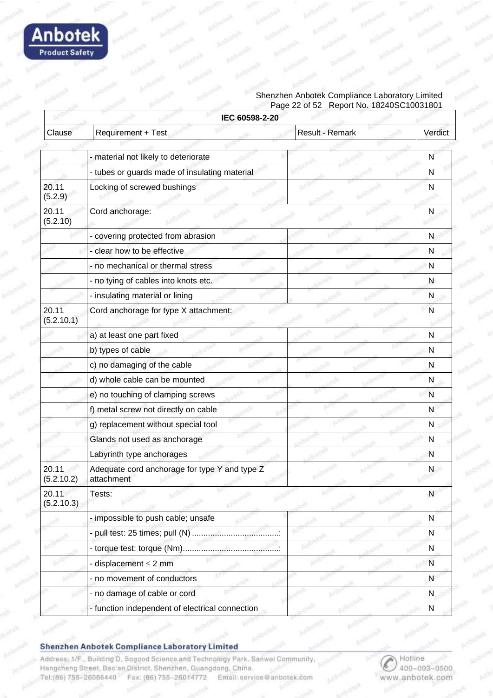

#### Shenzhen Anbotek Compliance Laboratory Limited Page 22 of 52 Report No. 18240SC10031801

|                     | IEC 60598-2-20                                              |                 |              |
|---------------------|-------------------------------------------------------------|-----------------|--------------|
| Clause              | Requirement + Test                                          | Result - Remark | Verdict      |
|                     |                                                             |                 |              |
|                     | - material not likely to deteriorate                        |                 | N            |
|                     | - tubes or guards made of insulating material               |                 | N            |
| 20.11<br>(5.2.9)    | Locking of screwed bushings                                 |                 | N            |
| 20.11<br>(5.2.10)   | Cord anchorage:                                             |                 | N            |
|                     | - covering protected from abrasion                          |                 | N            |
|                     | - clear how to be effective                                 |                 | N            |
|                     | - no mechanical or thermal stress                           |                 | N            |
|                     | - no tying of cables into knots etc.                        |                 | N            |
|                     | - insulating material or lining                             |                 | N            |
| 20.11<br>(5.2.10.1) | Cord anchorage for type X attachment:                       |                 | N            |
|                     | a) at least one part fixed                                  |                 | N            |
|                     | b) types of cable                                           |                 | N            |
|                     | c) no damaging of the cable                                 |                 | N            |
|                     | d) whole cable can be mounted                               |                 | N            |
|                     | e) no touching of clamping screws                           |                 | N            |
|                     | f) metal screw not directly on cable                        |                 | N            |
|                     | g) replacement without special tool                         |                 | ${\sf N}$    |
|                     | Glands not used as anchorage                                |                 | N            |
|                     | Labyrinth type anchorages                                   |                 | N            |
| 20.11<br>(5.2.10.2) | Adequate cord anchorage for type Y and type Z<br>attachment |                 | N            |
| 20.11<br>(5.2.10.3) | Tests:                                                      |                 | ${\sf N}$    |
|                     | - impossible to push cable; unsafe                          |                 | $\mathsf{N}$ |
|                     | - pull test: 25 times; pull (N)                             |                 | N            |
|                     | - torque test: torque (Nm)                                  |                 | $\mathsf{N}$ |
|                     | - displacement $\leq 2$ mm                                  |                 | $\mathsf{N}$ |
|                     | - no movement of conductors                                 |                 | N            |
|                     | - no damage of cable or cord                                |                 | N            |
|                     | - function independent of electrical connection             |                 | ${\sf N}$    |

#### Shenzhen Anbotek Compliance Laboratory Limited

Address: 1/F., Building D. Sogood Science and Technology Park, Sanwei Community, Hangcheng Street, Bao'an District, Shenzhen, Guangdong, China. Tel:(86) 755-26066440 Fax: (86) 755-26014772 Email: service@anbotek.com

Hotline 400-003-0500 www.anbotek.com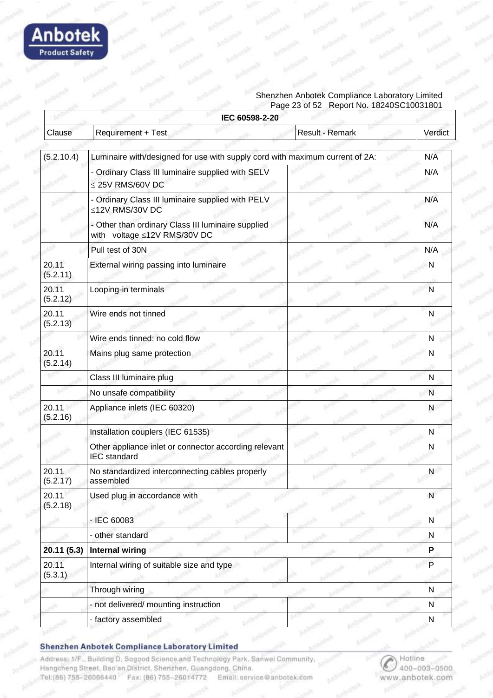

#### Shenzhen Anbotek Compliance Laboratory Limited Page 23 of 52 Report No. 18240SC10031801

|                   | IEC 60598-2-20                                                                     |                 |           |
|-------------------|------------------------------------------------------------------------------------|-----------------|-----------|
| Clause            | Requirement + Test                                                                 | Result - Remark | Verdict   |
|                   |                                                                                    |                 |           |
| (5.2.10.4)        | Luminaire with/designed for use with supply cord with maximum current of 2A:       |                 | N/A       |
|                   | - Ordinary Class III luminaire supplied with SELV<br>≤ 25V RMS/60V DC              |                 | N/A       |
|                   | - Ordinary Class III luminaire supplied with PELV<br>≤12V RMS/30V DC               |                 | N/A       |
|                   | - Other than ordinary Class III luminaire supplied<br>with voltage ≤12V RMS/30V DC |                 | N/A       |
|                   | Pull test of 30N                                                                   |                 | N/A       |
| 20.11<br>(5.2.11) | External wiring passing into luminaire                                             |                 | N         |
| 20.11<br>(5.2.12) | Looping-in terminals                                                               |                 | N         |
| 20.11<br>(5.2.13) | Wire ends not tinned                                                               |                 | N         |
|                   | Wire ends tinned: no cold flow                                                     |                 | N         |
| 20.11<br>(5.2.14) | Mains plug same protection                                                         |                 | N         |
|                   | Class III luminaire plug                                                           |                 | N         |
|                   | No unsafe compatibility                                                            |                 | N         |
| 20.11<br>(5.2.16) | Appliance inlets (IEC 60320)                                                       |                 | N         |
|                   | Installation couplers (IEC 61535)                                                  |                 | N         |
|                   | Other appliance inlet or connector according relevant<br><b>IEC</b> standard       |                 | N         |
| 20.11<br>(5.2.17) | No standardized interconnecting cables properly<br>assembled                       |                 | N         |
| 20.11<br>(5.2.18) | Used plug in accordance with                                                       |                 | N         |
|                   | - IEC 60083                                                                        |                 | ${\sf N}$ |
|                   | - other standard                                                                   |                 | N         |
| 20.11 (5.3)       | <b>Internal wiring</b>                                                             |                 | P         |
| 20.11<br>(5.3.1)  | Internal wiring of suitable size and type                                          |                 | P         |
|                   | Through wiring                                                                     |                 | N         |
|                   | - not delivered/ mounting instruction                                              |                 | N         |
|                   | - factory assembled                                                                |                 | N         |

#### Shenzhen Anbotek Compliance Laboratory Limited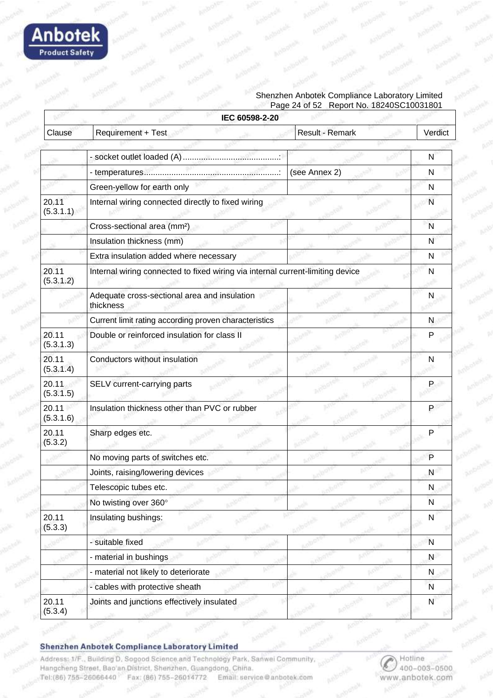

#### Shenzhen Anbotek Compliance Laboratory Limited Page 24 of 52 Report No. 18240SC10031801

|                    | IEC 60598-2-20                                                                 |                 |              |
|--------------------|--------------------------------------------------------------------------------|-----------------|--------------|
| Clause             | Requirement + Test                                                             | Result - Remark | Verdict      |
|                    |                                                                                |                 |              |
|                    |                                                                                |                 | N            |
|                    |                                                                                | (see Annex 2)   | N            |
|                    | Green-yellow for earth only                                                    |                 | N            |
| 20.11<br>(5.3.1.1) | Internal wiring connected directly to fixed wiring                             |                 | N            |
|                    | Cross-sectional area (mm <sup>2</sup> )                                        |                 | N            |
|                    | Insulation thickness (mm)                                                      |                 | N            |
|                    | Extra insulation added where necessary                                         |                 | N            |
| 20.11<br>(5.3.1.2) | Internal wiring connected to fixed wiring via internal current-limiting device |                 | N            |
|                    | Adequate cross-sectional area and insulation<br>thickness                      |                 | N            |
|                    | Current limit rating according proven characteristics                          |                 | N            |
| 20.11<br>(5.3.1.3) | Double or reinforced insulation for class II                                   |                 | P            |
| 20.11<br>(5.3.1.4) | Conductors without insulation                                                  |                 | N            |
| 20.11<br>(5.3.1.5) | SELV current-carrying parts                                                    |                 | P            |
| 20.11<br>(5.3.1.6) | Insulation thickness other than PVC or rubber                                  |                 | P            |
| 20.11<br>(5.3.2)   | Sharp edges etc.                                                               |                 | P            |
|                    | No moving parts of switches etc.                                               |                 | P            |
|                    | Joints, raising/lowering devices                                               |                 | N            |
|                    | Telescopic tubes etc.                                                          |                 | N            |
|                    | No twisting over 360°                                                          |                 | N            |
| 20.11<br>(5.3.3)   | Insulating bushings:                                                           |                 | $\mathsf{N}$ |
|                    | - suitable fixed                                                               |                 | N            |
|                    | - material in bushings                                                         |                 | N            |
|                    | - material not likely to deteriorate                                           |                 | N            |
|                    | - cables with protective sheath                                                |                 | N            |
| 20.11              | Joints and junctions effectively insulated                                     |                 | $\mathsf{N}$ |
| (5.3.4)            |                                                                                |                 |              |

#### Shenzhen Anbotek Compliance Laboratory Limited

Address: 1/F., Building D. Sogood Science and Technology Park, Sanwei Community, Hangcheng Street, Bao'an District, Shenzhen, Guangdong, China. Tel:(86) 755-26066440 Fax: (86) 755-26014772 Email: service@anbotek.com

Hotline 400-003-0500 www.anbotek.com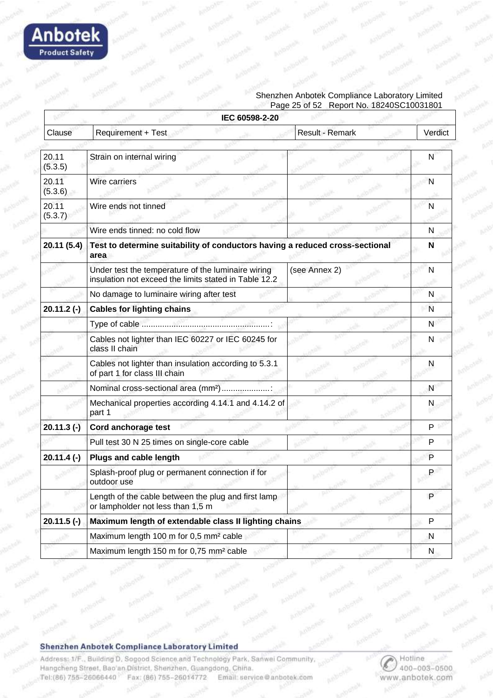

#### Shenzhen Anbotek Compliance Laboratory Limited Page 25 of 52 Report No. 18240SC10031801

|                  | IEC 60598-2-20                                                                                              |                        |         |
|------------------|-------------------------------------------------------------------------------------------------------------|------------------------|---------|
| Clause           | <b>Requirement + Test</b>                                                                                   | <b>Result - Remark</b> | Verdict |
|                  |                                                                                                             |                        |         |
| 20.11<br>(5.3.5) | Strain on internal wiring                                                                                   |                        | N       |
| 20.11<br>(5.3.6) | Wire carriers                                                                                               |                        | N       |
| 20.11<br>(5.3.7) | Wire ends not tinned                                                                                        |                        | N       |
|                  | Wire ends tinned: no cold flow                                                                              |                        | N       |
| 20.11 (5.4)      | Test to determine suitability of conductors having a reduced cross-sectional<br>area                        |                        | N       |
|                  | Under test the temperature of the luminaire wiring<br>insulation not exceed the limits stated in Table 12.2 | (see Annex 2)          | N       |
|                  | No damage to luminaire wiring after test                                                                    |                        | N       |
| $20.11.2(-)$     | <b>Cables for lighting chains</b>                                                                           |                        | N       |
|                  |                                                                                                             |                        | N       |
|                  | Cables not lighter than IEC 60227 or IEC 60245 for<br>class II chain                                        |                        | N       |
|                  | Cables not lighter than insulation according to 5.3.1<br>of part 1 for class III chain                      |                        | N       |
|                  | Nominal cross-sectional area (mm <sup>2</sup> )                                                             |                        | N       |
|                  | Mechanical properties according 4.14.1 and 4.14.2 of<br>part 1                                              |                        | N       |
| $20.11.3$ (-)    | Cord anchorage test                                                                                         |                        | P       |
|                  | Pull test 30 N 25 times on single-core cable                                                                |                        | P       |
| $20.11.4(-)$     | <b>Plugs and cable length</b>                                                                               |                        | P       |
|                  | Splash-proof plug or permanent connection if for<br>outdoor use                                             |                        | P       |
|                  | Length of the cable between the plug and first lamp<br>or lampholder not less than 1,5 m                    |                        | P       |
| $20.11.5$ (-)    | Maximum length of extendable class II lighting chains                                                       |                        | P       |
|                  | Maximum length 100 m for 0,5 mm <sup>2</sup> cable                                                          |                        | N       |
|                  | Maximum length 150 m for 0,75 mm <sup>2</sup> cable                                                         |                        | N       |

#### **Shenzhen Anbotek Compliance Laboratory Limited**

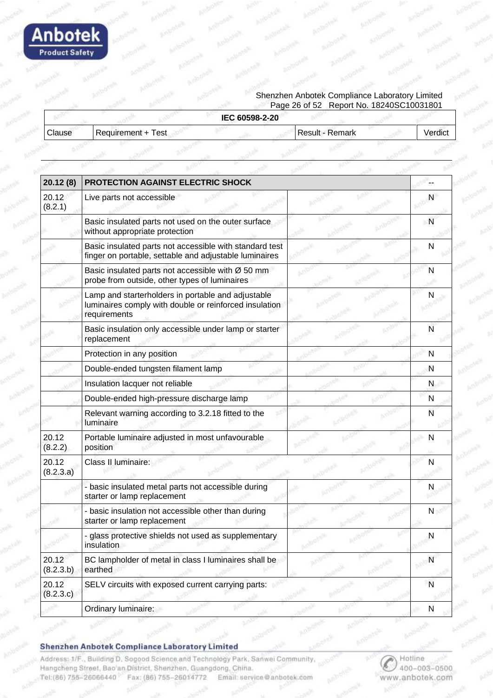

#### Shenzhen Anbotek Compliance Laboratory Limited Page 26 of 52 Report No. 18240SC10031801

|               |                    | IEC 60598-2-20 |                 |         |
|---------------|--------------------|----------------|-----------------|---------|
| <b>Clause</b> | Requirement + Test |                | Result - Remark | Verdict |
|               |                    |                |                 |         |

| 20.12(8)           | PROTECTION AGAINST ELECTRIC SHOCK                                                                                            |              |
|--------------------|------------------------------------------------------------------------------------------------------------------------------|--------------|
| 20.12<br>(8.2.1)   | Live parts not accessible                                                                                                    | N            |
|                    | Basic insulated parts not used on the outer surface<br>without appropriate protection                                        | - N          |
|                    | Basic insulated parts not accessible with standard test<br>finger on portable, settable and adjustable luminaires            | N            |
|                    | Basic insulated parts not accessible with Ø 50 mm<br>probe from outside, other types of luminaires                           | N            |
|                    | Lamp and starterholders in portable and adjustable<br>luminaires comply with double or reinforced insulation<br>requirements | N            |
|                    | Basic insulation only accessible under lamp or starter<br>replacement                                                        | N            |
|                    | Protection in any position                                                                                                   | $\mathsf{N}$ |
|                    | Double-ended tungsten filament lamp                                                                                          | N            |
|                    | Insulation lacquer not reliable                                                                                              | N            |
|                    | Double-ended high-pressure discharge lamp                                                                                    | N            |
|                    | Relevant warning according to 3.2.18 fitted to the<br>luminaire                                                              | N            |
| 20.12<br>(8.2.2)   | Portable luminaire adjusted in most unfavourable<br>position                                                                 |              |
| 20.12<br>(8.2.3.a) | Class II luminaire:                                                                                                          | N            |
|                    | - basic insulated metal parts not accessible during<br>starter or lamp replacement                                           | N            |
|                    | - basic insulation not accessible other than during<br>starter or lamp replacement                                           | N            |
|                    | - glass protective shields not used as supplementary<br>insulation                                                           | N            |
| 20.12<br>(8.2.3.b) | BC lampholder of metal in class I luminaires shall be<br>earthed                                                             | N            |
| 20.12<br>(8.2.3.c) | SELV circuits with exposed current carrying parts:                                                                           | $\mathsf{N}$ |
|                    | Ordinary luminaire:                                                                                                          | ${\sf N}$    |

Shenzhen Anbotek Compliance Laboratory Limited

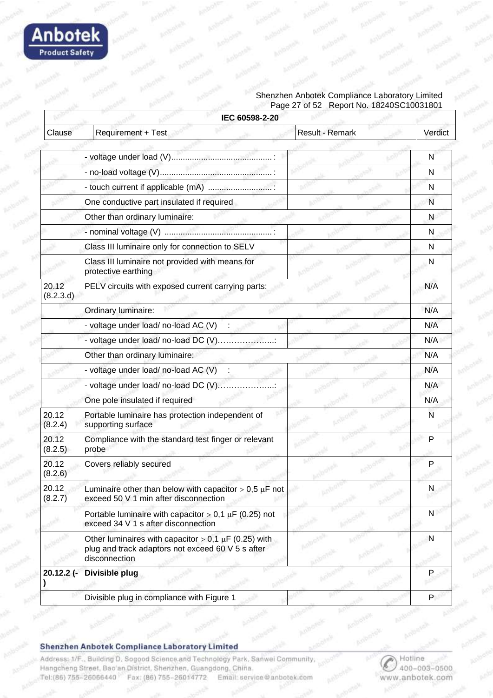

#### Shenzhen Anbotek Compliance Laboratory Limited Page 27 of 52 Report No. 18240SC10031801

|                    | IEC 60598-2-20                                                                                                                  |                 |              |
|--------------------|---------------------------------------------------------------------------------------------------------------------------------|-----------------|--------------|
| Clause             | Requirement + Test                                                                                                              | Result - Remark | Verdict      |
|                    |                                                                                                                                 |                 |              |
|                    |                                                                                                                                 |                 | N            |
|                    |                                                                                                                                 |                 | N            |
|                    | - touch current if applicable (mA)                                                                                              |                 | N            |
|                    | One conductive part insulated if required                                                                                       |                 | N            |
|                    | Other than ordinary luminaire:                                                                                                  |                 | N            |
|                    |                                                                                                                                 |                 | N            |
|                    | Class III luminaire only for connection to SELV                                                                                 |                 | N            |
|                    | Class III luminaire not provided with means for<br>protective earthing                                                          |                 | N            |
| 20.12<br>(8.2.3.d) | PELV circuits with exposed current carrying parts:                                                                              |                 | N/A          |
|                    | Ordinary luminaire:                                                                                                             |                 | N/A          |
|                    | - voltage under load/ no-load AC (V)                                                                                            |                 | N/A          |
|                    | - voltage under load/ no-load DC (V)                                                                                            |                 | N/A          |
|                    | Other than ordinary luminaire:                                                                                                  |                 | N/A          |
|                    | - voltage under load/ no-load AC (V)                                                                                            |                 | N/A          |
|                    | - voltage under load/ no-load DC (V)                                                                                            |                 | N/A          |
|                    | One pole insulated if required                                                                                                  |                 | N/A          |
| 20.12<br>(8.2.4)   | Portable luminaire has protection independent of<br>supporting surface                                                          |                 | N            |
| 20.12<br>(8.2.5)   | Compliance with the standard test finger or relevant<br>probe                                                                   |                 | P            |
| 20.12<br>(8.2.6)   | Covers reliably secured                                                                                                         |                 |              |
| 20.12<br>(8.2.7)   | Luminaire other than below with capacitor $> 0.5 \mu$ F not<br>exceed 50 V 1 min after disconnection                            |                 | N            |
|                    | Portable luminaire with capacitor > 0,1 $\mu$ F (0.25) not<br>exceed 34 V 1 s after disconnection                               |                 | $\mathsf{N}$ |
|                    | Other luminaires with capacitor > 0,1 $\mu$ F (0.25) with<br>plug and track adaptors not exceed 60 V 5 s after<br>disconnection |                 | N            |
| 20.12.2 (-         | Divisible plug                                                                                                                  |                 |              |
|                    | Divisible plug in compliance with Figure 1                                                                                      |                 | P.           |

Shenzhen Anbotek Compliance Laboratory Limited

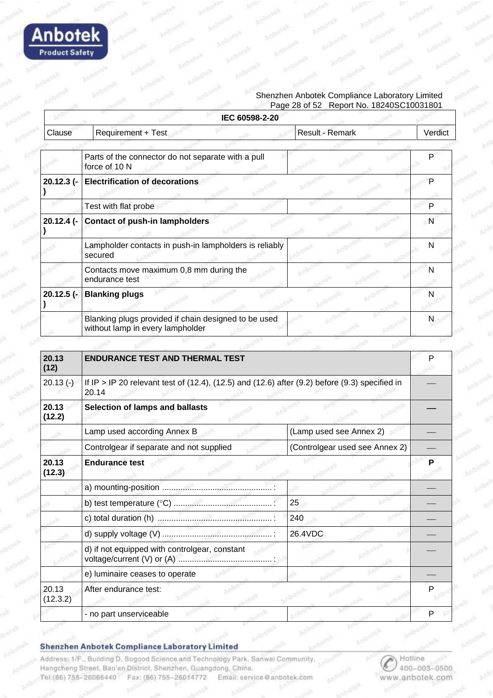

#### Shenzhen Anbotek Compliance Laboratory Limited Page 28 of 52 Report No. 18240SC10031801

|               | IEC 60598-2-20                                                                                                     |                 |              |
|---------------|--------------------------------------------------------------------------------------------------------------------|-----------------|--------------|
| Clause        | Requirement + Test                                                                                                 | Result - Remark | Verdict      |
|               |                                                                                                                    |                 |              |
|               | Parts of the connector do not separate with a pull<br>force of 10 N                                                |                 | P            |
| 20.12.3 (-    | <b>Electrification of decorations</b>                                                                              |                 | P            |
|               | Test with flat probe                                                                                               |                 | P            |
| $20.12.4$ (-  | <b>Contact of push-in lampholders</b>                                                                              |                 | $\mathsf{N}$ |
|               | Lampholder contacts in push-in lampholders is reliably<br>secured                                                  |                 | N            |
|               | Contacts move maximum 0,8 mm during the<br>endurance test                                                          |                 | N            |
| $20.12.5$ (-  | <b>Blanking plugs</b>                                                                                              |                 | N            |
|               | Blanking plugs provided if chain designed to be used<br>without lamp in every lampholder                           |                 | N            |
|               |                                                                                                                    |                 |              |
| 20.13<br>(12) | <b>ENDURANCE TEST AND THERMAL TEST</b>                                                                             |                 | P            |
| $20.13(-)$    | If IP > IP 20 relevant test of $(12.4)$ , $(12.5)$ and $(12.6)$ after $(9.2)$ before $(9.3)$ specified in<br>20.14 |                 |              |
| 20.13         | <b>Selection of lamps and ballasts</b>                                                                             |                 |              |

| Lamp used according Annex B                   | (Lamp used see Annex 2)        |   |
|-----------------------------------------------|--------------------------------|---|
| Controlgear if separate and not supplied      | (Controlgear used see Annex 2) |   |
| <b>Endurance test</b>                         |                                |   |
|                                               |                                |   |
|                                               | 25                             |   |
|                                               | 240                            |   |
|                                               | 26.4VDC                        |   |
| d) if not equipped with controlgear, constant |                                |   |
| e) luminaire ceases to operate                |                                |   |
| After endurance test:                         |                                |   |
| - no part unserviceable                       |                                | Р |
|                                               |                                |   |

#### Shenzhen Anbotek Compliance Laboratory Limited

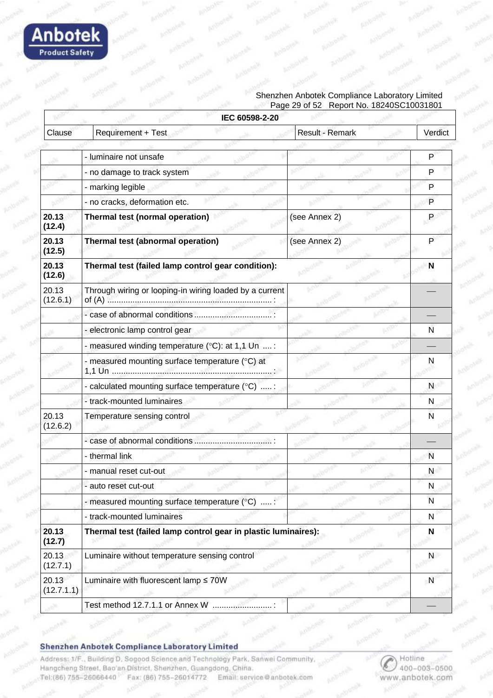

#### Shenzhen Anbotek Compliance Laboratory Limited Page 29 of 52 Report No. 18240SC10031801

|                     | IEC 60598-2-20                                                 |                 |              |
|---------------------|----------------------------------------------------------------|-----------------|--------------|
| Clause              | Requirement + Test                                             | Result - Remark | Verdict      |
|                     |                                                                |                 |              |
|                     | - luminaire not unsafe                                         |                 | P            |
|                     | - no damage to track system                                    |                 | P            |
|                     | - marking legible                                              |                 | P            |
|                     | - no cracks, deformation etc.                                  |                 | P            |
| 20.13<br>(12.4)     | Thermal test (normal operation)                                | (see Annex 2)   | P            |
| 20.13<br>(12.5)     | Thermal test (abnormal operation)                              | (see Annex 2)   | $\mathsf{P}$ |
| 20.13<br>(12.6)     | Thermal test (failed lamp control gear condition):             |                 | N            |
| 20.13<br>(12.6.1)   | Through wiring or looping-in wiring loaded by a current        |                 |              |
|                     |                                                                |                 |              |
|                     | - electronic lamp control gear                                 |                 | N            |
|                     | - measured winding temperature (°C): at 1,1 Un  :              |                 |              |
|                     | - measured mounting surface temperature (°C) at                |                 | N            |
|                     | - calculated mounting surface temperature (°C) :               |                 | N            |
|                     | - track-mounted luminaires                                     |                 | N.           |
| 20.13<br>(12.6.2)   | Temperature sensing control                                    |                 | N            |
|                     | - case of abnormal conditions                                  |                 |              |
|                     | - thermal link                                                 |                 | N            |
|                     | - manual reset cut-out                                         |                 | N            |
|                     | - auto reset cut-out                                           |                 | N            |
|                     | - measured mounting surface temperature $(°C)$ :               |                 | N            |
|                     | - track-mounted luminaires                                     |                 | N            |
| 20.13<br>(12.7)     | Thermal test (failed lamp control gear in plastic luminaires): |                 | N            |
| 20.13<br>(12.7.1)   | Luminaire without temperature sensing control                  |                 | N            |
| 20.13<br>(12.7.1.1) | Luminaire with fluorescent lamp ≤ 70W                          |                 | $\mathsf{N}$ |
|                     | Test method 12.7.1.1 or Annex W                                |                 |              |
|                     |                                                                |                 |              |

Shenzhen Anbotek Compliance Laboratory Limited

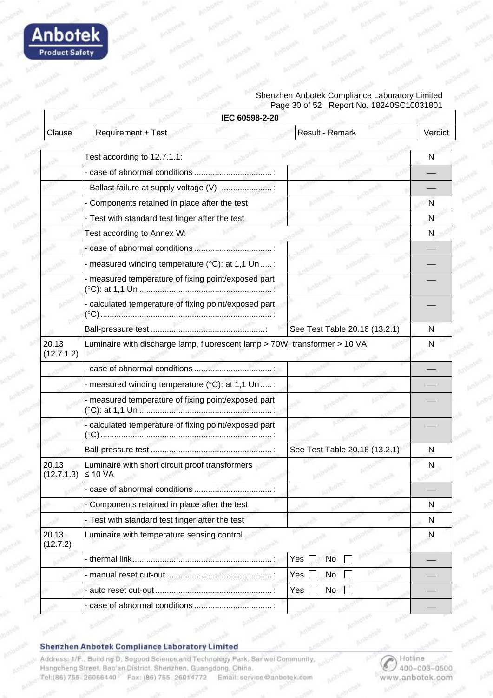

#### Shenzhen Anbotek Compliance Laboratory Limited Page 30 of 52 Report No. 18240SC10031801

|                     | IEC 60598-2-20                                                             |                               |         |
|---------------------|----------------------------------------------------------------------------|-------------------------------|---------|
| Clause              | Requirement + Test                                                         | Result - Remark               | Verdict |
|                     |                                                                            |                               |         |
|                     | Test according to 12.7.1.1:                                                |                               | N       |
|                     |                                                                            |                               |         |
|                     | - Ballast failure at supply voltage (V)                                    |                               |         |
|                     | - Components retained in place after the test                              |                               | N       |
|                     | - Test with standard test finger after the test                            |                               | N       |
|                     | Test according to Annex W:                                                 |                               | N       |
|                     |                                                                            |                               |         |
|                     | - measured winding temperature ( $°C$ ): at 1,1 Un  :                      |                               |         |
|                     | - measured temperature of fixing point/exposed part                        |                               |         |
|                     | - calculated temperature of fixing point/exposed part                      |                               |         |
|                     |                                                                            | See Test Table 20.16 (13.2.1) | N       |
| 20.13<br>(12.7.1.2) | Luminaire with discharge lamp, fluorescent lamp > 70W, transformer > 10 VA |                               | N       |
|                     |                                                                            |                               |         |
|                     | - measured winding temperature $(°C)$ : at 1,1 Un  :                       |                               |         |
|                     | - measured temperature of fixing point/exposed part                        |                               |         |
|                     | - calculated temperature of fixing point/exposed part                      |                               |         |
|                     |                                                                            | See Test Table 20.16 (13.2.1) | N       |
| 20.13<br>(12.7.1.3) | Luminaire with short circuit proof transformers<br>$\leq 10$ VA            |                               | N       |
|                     |                                                                            |                               |         |
|                     | - Components retained in place after the test                              |                               | N       |
|                     | - Test with standard test finger after the test                            |                               | N       |
| 20.13<br>(12.7.2)   | Luminaire with temperature sensing control                                 |                               | N       |
|                     |                                                                            | No<br>Yes                     |         |
|                     |                                                                            | Yes<br>No                     |         |
|                     |                                                                            | No<br>Yes                     |         |
|                     |                                                                            |                               |         |

#### Shenzhen Anbotek Compliance Laboratory Limited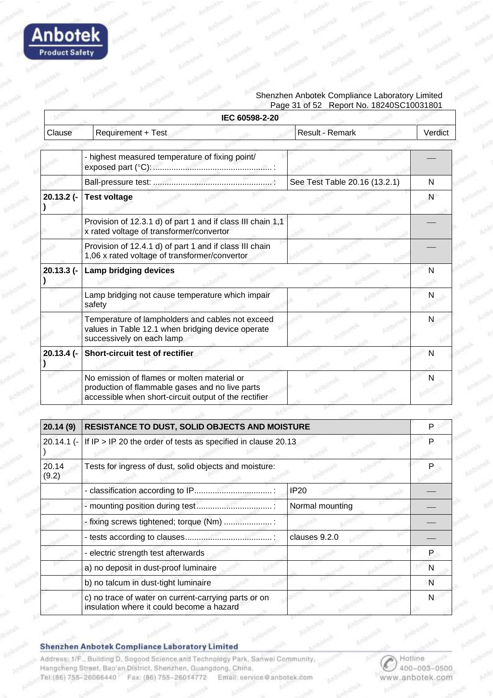

#### Shenzhen Anbotek Compliance Laboratory Limited Page 31 of 52 Report No. 18240SC10031801

|            | IEC 60598-2-20                                                                                                                                          |                               |         |
|------------|---------------------------------------------------------------------------------------------------------------------------------------------------------|-------------------------------|---------|
| Clause     | <b>Requirement + Test</b>                                                                                                                               | <b>Result - Remark</b>        | Verdict |
|            |                                                                                                                                                         |                               |         |
|            | - highest measured temperature of fixing point/                                                                                                         |                               |         |
|            |                                                                                                                                                         | See Test Table 20.16 (13.2.1) | N       |
| 20.13.2 (- | <b>Test voltage</b>                                                                                                                                     |                               | N       |
|            | Provision of 12.3.1 d) of part 1 and if class III chain 1,1<br>x rated voltage of transformer/convertor                                                 |                               |         |
|            | Provision of 12.4.1 d) of part 1 and if class III chain<br>1,06 x rated voltage of transformer/convertor                                                |                               |         |
| 20.13.3 (- | <b>Lamp bridging devices</b>                                                                                                                            |                               | N       |
|            | Lamp bridging not cause temperature which impair<br>safety                                                                                              |                               | N       |
|            | Temperature of lampholders and cables not exceed<br>values in Table 12.1 when bridging device operate<br>successively on each lamp                      |                               | N       |
| 20.13.4 (- | Short-circuit test of rectifier                                                                                                                         |                               | N       |
|            | No emission of flames or molten material or<br>production of flammable gases and no live parts<br>accessible when short-circuit output of the rectifier |                               |         |

| 20.14(9)       | RESISTANCE TO DUST, SOLID OBJECTS AND MOISTURE<br>20.14.1 (- If IP > IP 20 the order of tests as specified in clause 20.13 |                 |   |
|----------------|----------------------------------------------------------------------------------------------------------------------------|-----------------|---|
|                |                                                                                                                            |                 |   |
| 20.14<br>(9.2) | Tests for ingress of dust, solid objects and moisture:                                                                     |                 |   |
|                |                                                                                                                            | <b>IP20</b>     |   |
|                |                                                                                                                            | Normal mounting |   |
|                | - fixing screws tightened; torque (Nm)                                                                                     |                 |   |
|                |                                                                                                                            | clauses 9.2.0   |   |
|                | - electric strength test afterwards                                                                                        |                 | Р |
|                | a) no deposit in dust-proof luminaire                                                                                      |                 | N |
|                | b) no talcum in dust-tight luminaire                                                                                       |                 | N |
|                | c) no trace of water on current-carrying parts or on<br>insulation where it could become a hazard                          |                 | N |

Shenzhen Anbotek Compliance Laboratory Limited

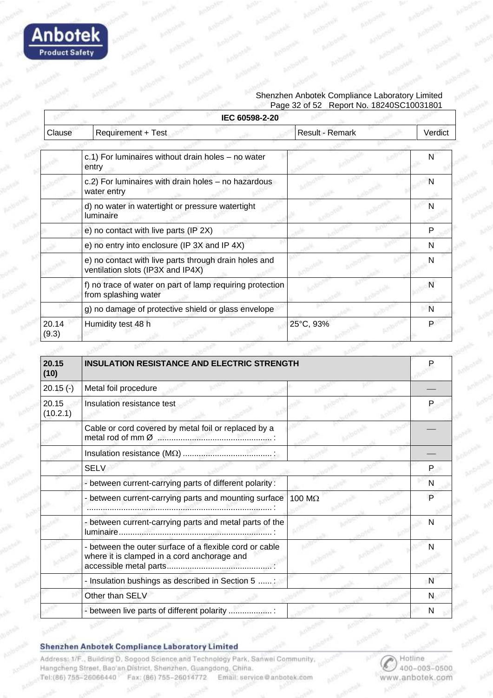

#### Shenzhen Anbotek Compliance Laboratory Limited Page 32 of 52 Report No. 18240SC10031801

|                | IEC 60598-2-20                                                                             |                 |         |
|----------------|--------------------------------------------------------------------------------------------|-----------------|---------|
| Clause         | <b>Requirement + Test</b>                                                                  | Result - Remark | Verdict |
|                |                                                                                            |                 |         |
|                | c.1) For luminaires without drain holes - no water<br>entry                                |                 | N       |
|                | c.2) For luminaires with drain holes - no hazardous<br>water entry                         |                 | N       |
|                | d) no water in watertight or pressure watertight<br>luminaire                              |                 | N       |
|                | e) no contact with live parts (IP 2X)                                                      |                 | P       |
|                | e) no entry into enclosure (IP 3X and IP 4X)                                               |                 | N       |
|                | e) no contact with live parts through drain holes and<br>ventilation slots (IP3X and IP4X) |                 | N       |
|                | f) no trace of water on part of lamp requiring protection<br>from splashing water          |                 | N       |
|                | g) no damage of protective shield or glass envelope                                        |                 | N       |
| 20.14<br>(9.3) | Humidity test 48 h                                                                         | 25°C, 93%       |         |

| 20.15<br>(10)     | <b>INSULATION RESISTANCE AND ELECTRIC STRENGTH</b>                                                     |        |   |  |
|-------------------|--------------------------------------------------------------------------------------------------------|--------|---|--|
| $20.15(-)$        | Metal foil procedure                                                                                   |        |   |  |
| 20.15<br>(10.2.1) | Insulation resistance test                                                                             |        |   |  |
|                   | Cable or cord covered by metal foil or replaced by a                                                   |        |   |  |
|                   |                                                                                                        |        |   |  |
|                   | <b>SELV</b>                                                                                            |        | P |  |
|                   | - between current-carrying parts of different polarity:                                                |        | N |  |
|                   | - between current-carrying parts and mounting surface                                                  | 100 MΩ | P |  |
|                   | - between current-carrying parts and metal parts of the                                                |        |   |  |
|                   | - between the outer surface of a flexible cord or cable<br>where it is clamped in a cord anchorage and |        |   |  |
|                   | - Insulation bushings as described in Section 5 :                                                      |        | N |  |
|                   | Other than SELV                                                                                        |        | N |  |
|                   | - between live parts of different polarity                                                             |        | N |  |

#### Shenzhen Anbotek Compliance Laboratory Limited

Address: 1/F., Building D. Sogood Science and Technology Park, Sanwei Community, Hangcheng Street, Bao'an District, Shenzhen, Guangdong, China. Tel:(86) 755-26066440 Fax: (86) 755-26014772 Email: service@anbotek.com

Hotline 400-003-0500 www.anbotek.com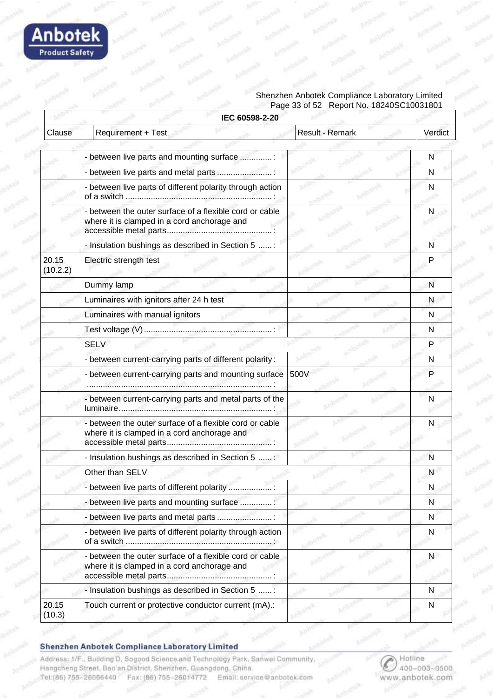

#### Shenzhen Anbotek Compliance Laboratory Limited Page 33 of 52 Report No. 18240SC10031801

|                   | IEC 60598-2-20                                                                                         |                 |         |
|-------------------|--------------------------------------------------------------------------------------------------------|-----------------|---------|
| Clause            | Requirement + Test                                                                                     | Result - Remark | Verdict |
|                   |                                                                                                        |                 |         |
|                   | - between live parts and mounting surface :                                                            |                 | N       |
|                   | - between live parts and metal parts                                                                   |                 | N       |
|                   | - between live parts of different polarity through action                                              |                 | N       |
|                   | - between the outer surface of a flexible cord or cable<br>where it is clamped in a cord anchorage and |                 | N       |
|                   | - Insulation bushings as described in Section 5 :                                                      |                 | N       |
| 20.15<br>(10.2.2) | Electric strength test                                                                                 |                 | P       |
|                   | Dummy lamp                                                                                             |                 | N       |
|                   | Luminaires with ignitors after 24 h test                                                               |                 | N       |
|                   | Luminaires with manual ignitors                                                                        |                 | N       |
|                   |                                                                                                        |                 | N       |
|                   | <b>SELV</b>                                                                                            |                 | P       |
|                   | - between current-carrying parts of different polarity:                                                |                 | N       |
|                   | - between current-carrying parts and mounting surface                                                  | 500V            | P       |
|                   | - between current-carrying parts and metal parts of the                                                |                 | N       |
|                   | - between the outer surface of a flexible cord or cable<br>where it is clamped in a cord anchorage and |                 | N       |
|                   | - Insulation bushings as described in Section 5 :                                                      |                 | N       |
|                   | Other than SELV                                                                                        |                 | N       |
|                   | - between live parts of different polarity                                                             |                 | N       |
|                   | - between live parts and mounting surface                                                              |                 | N       |
|                   | - between live parts and metal parts                                                                   |                 | N       |
|                   | - between live parts of different polarity through action                                              |                 | N       |
|                   | - between the outer surface of a flexible cord or cable<br>where it is clamped in a cord anchorage and |                 | N       |
|                   | - Insulation bushings as described in Section 5 :                                                      |                 | N       |
| 20.15<br>(10.3)   | Touch current or protective conductor current (mA).:                                                   |                 | N       |

#### Shenzhen Anbotek Compliance Laboratory Limited

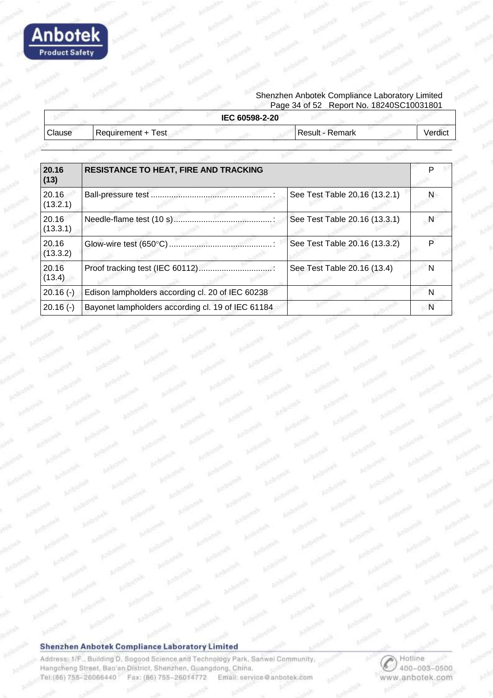

#### Shenzhen Anbotek Compliance Laboratory Limited Page 34 of 52 Report No. 18240SC10031801

|               |                    | IEC 60598-2-20 |                        |         |
|---------------|--------------------|----------------|------------------------|---------|
| <b>Clause</b> | Requirement + Test |                | <b>Result - Remark</b> | verdic. |
|               |                    |                |                        |         |

| 20.16<br>(13)     | <b>RESISTANCE TO HEAT, FIRE AND TRACKING</b>      |                               |   |  |
|-------------------|---------------------------------------------------|-------------------------------|---|--|
| 20.16<br>(13.2.1) |                                                   | See Test Table 20.16 (13.2.1) |   |  |
| 20.16<br>(13.3.1) | Needle-flame test (10 s)                          | See Test Table 20.16 (13.3.1) |   |  |
| 20.16<br>(13.3.2) |                                                   | See Test Table 20.16 (13.3.2) |   |  |
| 20.16<br>(13.4)   | Proof tracking test (IEC 60112)                   | See Test Table 20.16 (13.4)   |   |  |
| $20.16(-)$        | Edison lampholders according cl. 20 of IEC 60238  |                               | N |  |
| $20.16(-)$        | Bayonet lampholders according cl. 19 of IEC 61184 |                               |   |  |

#### Shenzhen Anbotek Compliance Laboratory Limited

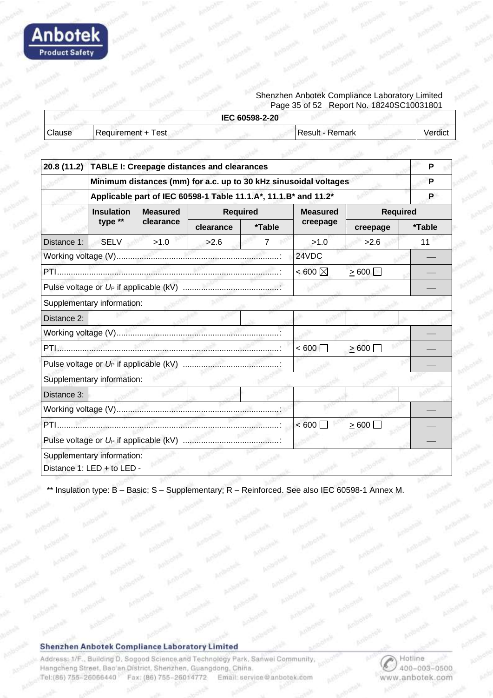

#### Shenzhen Anbotek Compliance Laboratory Limited Page 35 of 52 Report No. 18240SC10031801

|        |                    | IEC 60598-2-20 |                   |         |
|--------|--------------------|----------------|-------------------|---------|
| Clause | Requirement + Test |                | l Result - Remark | verdic. |
|        |                    |                |                   |         |

| 20.8 (11.2)                       | <b>TABLE I: Creepage distances and clearances</b>                |                 |                                                                 |                 |                     |                 | P      |
|-----------------------------------|------------------------------------------------------------------|-----------------|-----------------------------------------------------------------|-----------------|---------------------|-----------------|--------|
|                                   | Minimum distances (mm) for a.c. up to 30 kHz sinusoidal voltages |                 |                                                                 |                 |                     |                 | P      |
|                                   |                                                                  |                 | Applicable part of IEC 60598-1 Table 11.1.A*, 11.1.B* and 11.2* |                 |                     |                 | P      |
|                                   | <b>Insulation</b>                                                | <b>Measured</b> |                                                                 | <b>Required</b> | <b>Measured</b>     | <b>Required</b> |        |
|                                   | type **                                                          | clearance       | clearance                                                       | *Table          | creepage            | creepage        | *Table |
| Distance 1:                       | <b>SELV</b>                                                      | >1.0            | >2.6                                                            | 7               | >1.0                | >2.6            | 11     |
|                                   |                                                                  |                 |                                                                 |                 | 24VDC               |                 |        |
|                                   |                                                                  |                 |                                                                 |                 | $<$ 600 $\boxtimes$ | $\geq 600$      |        |
|                                   |                                                                  |                 |                                                                 |                 |                     |                 |        |
|                                   | Supplementary information:                                       |                 |                                                                 |                 |                     |                 |        |
| Distance 2:                       |                                                                  |                 |                                                                 |                 |                     |                 |        |
|                                   |                                                                  |                 |                                                                 |                 |                     |                 |        |
|                                   |                                                                  |                 |                                                                 |                 | < 600               | >600            |        |
|                                   |                                                                  |                 |                                                                 |                 |                     |                 |        |
|                                   | Supplementary information:                                       |                 |                                                                 |                 |                     |                 |        |
| Distance 3:                       |                                                                  |                 |                                                                 |                 |                     |                 |        |
|                                   |                                                                  |                 |                                                                 |                 |                     |                 |        |
| PTI<br>< 600<br>$\geq 600$ $\Box$ |                                                                  |                 |                                                                 |                 |                     |                 |        |
|                                   |                                                                  |                 |                                                                 |                 |                     |                 |        |
|                                   | Supplementary information:<br>Distance 1: LED + to LED -         |                 |                                                                 |                 |                     |                 |        |

Insulation type: B - Basic; S - Supplementary; R - Reinforced. See also IEC 60598-1 Annex M.

#### Shenzhen Anbotek Compliance Laboratory Limited

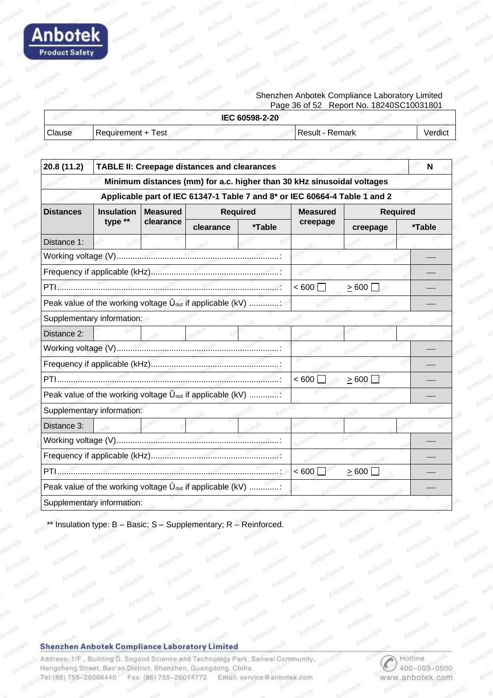

#### Shenzhen Anbotek Compliance Laboratory Limited Page 36 of 52 Report No. 18240SC10031801

|        |                        | IEC 60598-2-20  |        |
|--------|------------------------|-----------------|--------|
| Clause | l Requirement + Test _ | Result - Remark | Verdic |
|        |                        |                 |        |

| 20.8 (11.2)                | <b>TABLE II: Creepage distances and clearances</b><br>N |                 |                                                                        |                 |                                                                            |                 |        |
|----------------------------|---------------------------------------------------------|-----------------|------------------------------------------------------------------------|-----------------|----------------------------------------------------------------------------|-----------------|--------|
|                            |                                                         |                 |                                                                        |                 | Minimum distances (mm) for a.c. higher than 30 kHz sinusoidal voltages     |                 |        |
|                            |                                                         |                 |                                                                        |                 | Applicable part of IEC 61347-1 Table 7 and 8* or IEC 60664-4 Table 1 and 2 |                 |        |
| <b>Distances</b>           | <b>Insulation</b>                                       | <b>Measured</b> |                                                                        | <b>Required</b> | <b>Measured</b>                                                            | <b>Required</b> |        |
|                            | type **                                                 | clearance       | clearance                                                              | *Table          | creepage                                                                   | creepage        | *Table |
| Distance 1:                |                                                         |                 |                                                                        |                 |                                                                            |                 |        |
|                            |                                                         |                 |                                                                        |                 |                                                                            |                 |        |
|                            |                                                         |                 |                                                                        |                 |                                                                            |                 |        |
|                            |                                                         |                 |                                                                        |                 | < 600                                                                      | >600            |        |
|                            |                                                         |                 | Peak value of the working voltage $\hat{U}_{out}$ if applicable (kV) : |                 |                                                                            |                 |        |
| Supplementary information: |                                                         |                 |                                                                        |                 |                                                                            |                 |        |
| Distance 2:                |                                                         |                 |                                                                        |                 |                                                                            |                 |        |
|                            |                                                         |                 |                                                                        |                 |                                                                            |                 |        |
|                            |                                                         |                 |                                                                        |                 |                                                                            |                 |        |
|                            |                                                         |                 |                                                                        |                 | < 600                                                                      | >600            |        |
|                            |                                                         |                 | Peak value of the working voltage $\hat{U}_{out}$ if applicable (kV) : |                 |                                                                            |                 |        |
| Supplementary information: |                                                         |                 |                                                                        |                 |                                                                            |                 |        |
| Distance 3:                |                                                         |                 |                                                                        |                 |                                                                            |                 |        |
|                            |                                                         |                 |                                                                        |                 |                                                                            |                 |        |
|                            |                                                         |                 |                                                                        |                 |                                                                            |                 |        |
|                            |                                                         |                 |                                                                        |                 | < 600                                                                      | $\geq 600$      |        |
|                            |                                                         |                 | Peak value of the working voltage $\hat{U}_{out}$ if applicable (kV)   |                 |                                                                            |                 |        |
| Supplementary information: |                                                         |                 |                                                                        |                 |                                                                            |                 |        |

Insulation type: B – Basic; S – Supplementary; R – Reinforced.

#### Shenzhen Anbotek Compliance Laboratory Limited

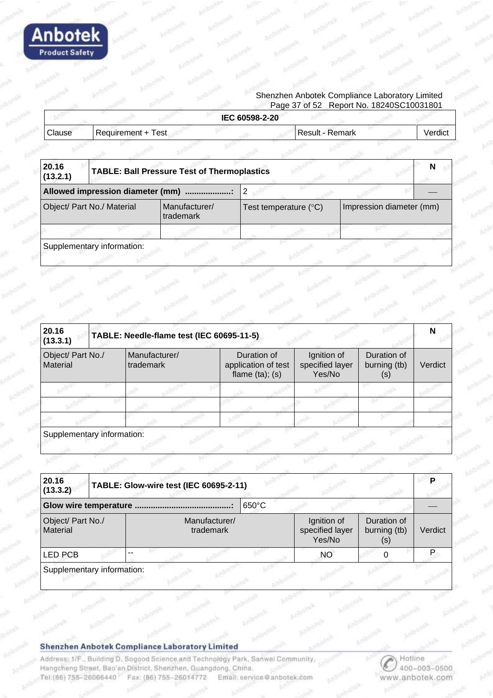

#### Shenzhen Anbotek Compliance Laboratory Limited Page 37 of 52 Report No. 18240SC10031801

|               |                    | IEC 60598-2-20 |                   |         |
|---------------|--------------------|----------------|-------------------|---------|
| <b>Clause</b> | Requirement + Test |                | l Result - Remark | Verdicu |
|               |                    |                |                   |         |

| 20.16<br>(13.2.1)                       |                            | <b>TABLE: Ball Pressure Test of Thermoplastics</b> |                                |                          | N |
|-----------------------------------------|----------------------------|----------------------------------------------------|--------------------------------|--------------------------|---|
|                                         |                            |                                                    |                                |                          |   |
| Object/ Part No./ Material<br>trademark |                            | Manufacturer/                                      | Test temperature $(^{\circ}C)$ | Impression diameter (mm) |   |
|                                         |                            |                                                    |                                |                          |   |
|                                         | Supplementary information: |                                                    |                                |                          |   |

| 20.16<br>TABLE: Needle-flame test (IEC 60695-11-5)<br>(13.3.1) |  |                            |                                                            |                                          |                                               |         |
|----------------------------------------------------------------|--|----------------------------|------------------------------------------------------------|------------------------------------------|-----------------------------------------------|---------|
| Object/ Part No./<br>Material                                  |  | Manufacturer/<br>trademark | Duration of<br>application of test<br>flame $(ta)$ ; $(s)$ | Ignition of<br>specified layer<br>Yes/No | Duration of<br>burning (tb)<br>$(\mathsf{s})$ | Verdict |
|                                                                |  |                            |                                                            |                                          |                                               |         |
|                                                                |  |                            |                                                            |                                          |                                               |         |
|                                                                |  |                            |                                                            |                                          |                                               |         |

Supplementary information:

| 20.16<br>(13.3.2)             | TABLE: Glow-wire test (IEC 60695-2-11) |                 |                                                                                |         |
|-------------------------------|----------------------------------------|-----------------|--------------------------------------------------------------------------------|---------|
|                               |                                        | $650^{\circ}$ C |                                                                                |         |
| Object/ Part No./<br>Material | Manufacturer/<br>trademark             |                 | Duration of<br>Ignition of<br>specified layer<br>burning (tb)<br>Yes/No<br>(s) | Verdict |
| <b>LED PCB</b>                |                                        |                 | NO.                                                                            |         |

#### Shenzhen Anbotek Compliance Laboratory Limited

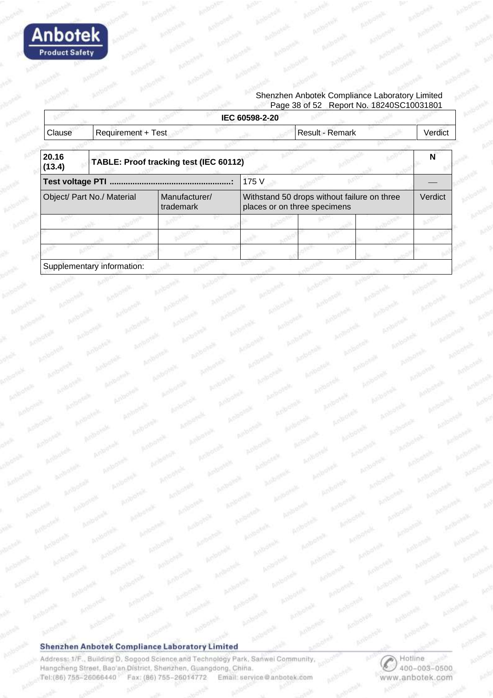

#### Shenzhen Anbotek Compliance Laboratory Limited Page 38 of 52 Report No. 18240SC10031801

|                                                          |                            |                                                                             | IEC 60598-2-20 |                 |         |
|----------------------------------------------------------|----------------------------|-----------------------------------------------------------------------------|----------------|-----------------|---------|
| Clause                                                   | <b>Requirement + Test</b>  |                                                                             |                | Result - Remark | Verdict |
| 20.16<br>(13.4)                                          |                            | TABLE: Proof tracking test (IEC 60112)                                      |                |                 | N       |
|                                                          |                            |                                                                             | 175 V          |                 |         |
| Object/ Part No./ Material<br>Manufacturer/<br>trademark |                            | Withstand 50 drops without failure on three<br>places or on three specimens | Verdict        |                 |         |
|                                                          |                            |                                                                             |                |                 |         |
|                                                          |                            |                                                                             |                |                 |         |
|                                                          |                            |                                                                             |                |                 |         |
|                                                          | Supplementary information: |                                                                             |                |                 |         |

#### Shenzhen Anbotek Compliance Laboratory Limited

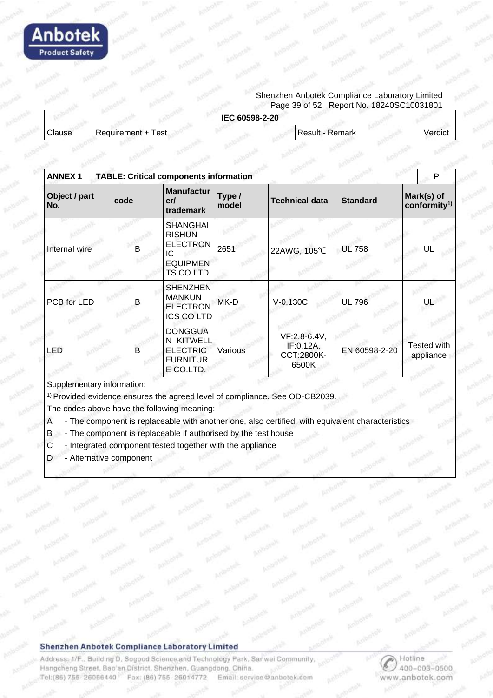

#### Shenzhen Anbotek Compliance Laboratory Limited Page 39 of 52 Report No. 18240SC10031801

|        |                      | IEC 60598-2-20  |         |
|--------|----------------------|-----------------|---------|
| Clause | l Requirement + Test | Result - Remark | Verdict |
|        |                      |                 |         |

| <b>ANNEX1</b>        |      |   | <b>TABLE: Critical components information</b>                                                    |                 |                                                  |                 | P                            |
|----------------------|------|---|--------------------------------------------------------------------------------------------------|-----------------|--------------------------------------------------|-----------------|------------------------------|
| Object / part<br>No. | code |   | <b>Manufactur</b><br>er/<br>trademark                                                            | Type /<br>model | <b>Technical data</b>                            | <b>Standard</b> | Mark(s) of<br>conformity $1$ |
| Internal wire        |      | В | <b>SHANGHAI</b><br><b>RISHUN</b><br><b>ELECTRON</b><br>IC<br><b>EQUIPMEN</b><br><b>TS CO LTD</b> | 2651            | 22AWG, 105°C                                     | <b>UL 758</b>   | UL                           |
| PCB for LED          |      | B | <b>SHENZHEN</b><br><b>MANKUN</b><br><b>ELECTRON</b><br><b>ICS COLTD</b>                          | MK-D            | $V-0,130C$                                       | <b>UL 796</b>   | UL                           |
| LED                  |      | B | <b>DONGGUA</b><br><b>KITWELL</b><br>N.<br><b>ELECTRIC</b><br><b>FURNITUR</b><br>E CO.LTD.        | Various         | VF:2.8-6.4V,<br>IF:0.12A,<br>CCT:2800K-<br>6500K | EN 60598-2-20   | Tested with<br>appliance     |

Supplementary information:

1) Provided evidence ensures the agreed level of compliance. See OD-CB2039.

The codes above have the following meaning:

- A The component is replaceable with another one, also certified, with equivalent characteristics
- B The component is replaceable if authorised by the test house
- C Integrated component tested together with the appliance
- D Alternative component

#### Shenzhen Anbotek Compliance Laboratory Limited

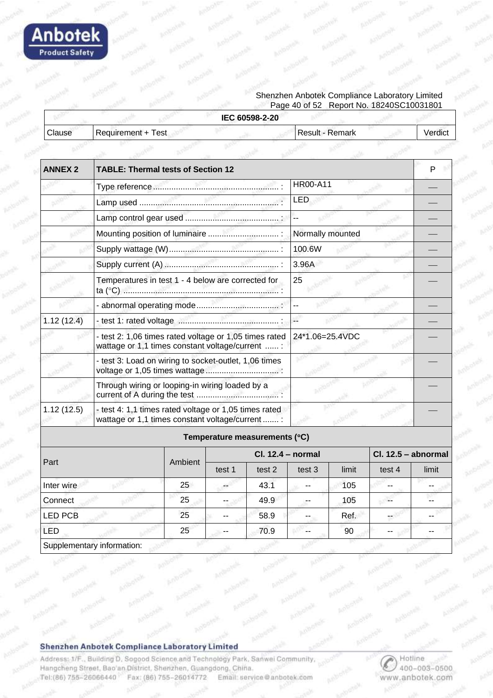

#### Shenzhen Anbotek Compliance Laboratory Limited Page 40 of 52 Report No. 18240SC10031801

|        |                    | IEC 60598-2-20  |         |
|--------|--------------------|-----------------|---------|
| Clause | Requirement + Test | Result - Remark | Verdict |
|        |                    |                 |         |

| <b>ANNEX 2</b> | <b>TABLE: Thermal tests of Section 12</b>                                                                 |  |                                                        |                  |                       | P |
|----------------|-----------------------------------------------------------------------------------------------------------|--|--------------------------------------------------------|------------------|-----------------------|---|
|                |                                                                                                           |  |                                                        | <b>HR00-A11</b>  |                       |   |
|                |                                                                                                           |  |                                                        | <b>LED</b>       |                       |   |
|                |                                                                                                           |  |                                                        |                  |                       |   |
|                |                                                                                                           |  |                                                        | Normally mounted |                       |   |
|                |                                                                                                           |  |                                                        | 100.6W           |                       |   |
|                |                                                                                                           |  |                                                        | 3.96A            |                       |   |
|                | Temperatures in test 1 - 4 below are corrected for                                                        |  |                                                        | 25               |                       |   |
|                |                                                                                                           |  |                                                        |                  |                       |   |
| 1.12(12.4)     |                                                                                                           |  |                                                        |                  |                       |   |
|                | wattage or 1,1 times constant voltage/current  :                                                          |  | - test 2: 1,06 times rated voltage or 1,05 times rated | 24*1.06=25.4VDC  |                       |   |
|                | - test 3: Load on wiring to socket-outlet, 1,06 times                                                     |  |                                                        |                  |                       |   |
|                | Through wiring or looping-in wiring loaded by a                                                           |  |                                                        |                  |                       |   |
| 1.12(12.5)     | - test 4: 1,1 times rated voltage or 1,05 times rated<br>wattage or 1,1 times constant voltage/current  : |  |                                                        |                  |                       |   |
|                |                                                                                                           |  | Temperature measurements (°C)                          |                  |                       |   |
|                |                                                                                                           |  | $Cl. 12.4 - normal$                                    |                  | $Cl. 12.5 - abnormal$ |   |

| Part                       | Ambient | Cl. 12.4 - normal |        |        |       | $Cl. 12.5 - abnormal$ |       |
|----------------------------|---------|-------------------|--------|--------|-------|-----------------------|-------|
|                            |         | test 1            | test 2 | test 3 | limit | test 4                | limit |
| Inter wire                 | 25      |                   | 43.1   |        | 105   |                       |       |
| Connect                    | 25      | $-$               | 49.9   |        | 105   | --                    |       |
| LED PCB                    | 25      |                   | 58.9   |        | Ref.  |                       |       |
| <b>LED</b>                 | 25      | $- -$             | 70.9   | $- -$  | 90    | $\sim$ $\sim$         |       |
| Supplementary information: |         |                   |        |        |       |                       |       |

#### **Shenzhen Anbotek Compliance Laboratory Limited**

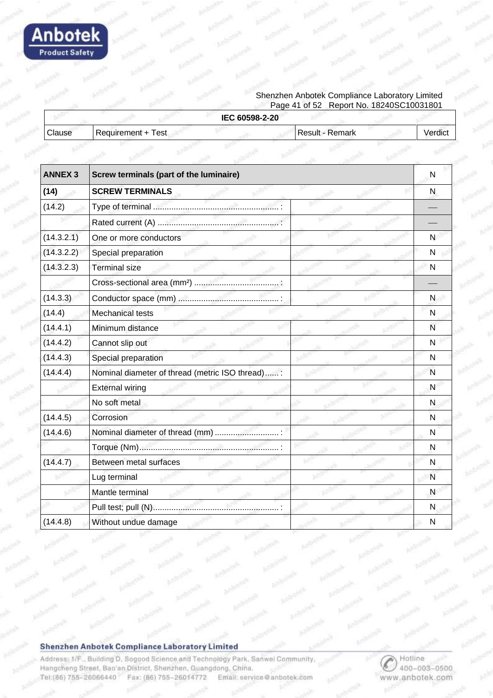

#### Shenzhen Anbotek Compliance Laboratory Limited Page 41 of 52 Report No. 18240SC10031801

|        |                    | IEC 60598-2-20  |         |
|--------|--------------------|-----------------|---------|
| Clause | Requirement + Test | Result - Remark | Verdict |
|        |                    |                 |         |

| <b>ANNEX 3</b> | Screw terminals (part of the luminaire)         |   |  |  |  |
|----------------|-------------------------------------------------|---|--|--|--|
| (14)           | <b>SCREW TERMINALS</b>                          |   |  |  |  |
| (14.2)         |                                                 |   |  |  |  |
|                |                                                 |   |  |  |  |
| (14.3.2.1)     | One or more conductors                          | N |  |  |  |
| (14.3.2.2)     | Special preparation                             | N |  |  |  |
| (14.3.2.3)     | <b>Terminal size</b>                            | N |  |  |  |
|                |                                                 |   |  |  |  |
| (14.3.3)       |                                                 | N |  |  |  |
| (14.4)         | Mechanical tests                                | N |  |  |  |
| (14.4.1)       | Minimum distance                                | N |  |  |  |
| (14.4.2)       | Cannot slip out                                 | N |  |  |  |
| (14.4.3)       | Special preparation                             | N |  |  |  |
| (14.4.4)       | Nominal diameter of thread (metric ISO thread): | N |  |  |  |
|                | <b>External wiring</b>                          | N |  |  |  |
|                | No soft metal                                   | N |  |  |  |
| (14.4.5)       | Corrosion                                       | N |  |  |  |
| (14.4.6)       | Nominal diameter of thread (mm)                 | N |  |  |  |
|                |                                                 | N |  |  |  |
| (14.4.7)       | Between metal surfaces                          | N |  |  |  |
|                | Lug terminal                                    | N |  |  |  |
|                | Mantle terminal                                 | N |  |  |  |
|                |                                                 | N |  |  |  |
| (14.4.8)       | Without undue damage                            | N |  |  |  |

#### Shenzhen Anbotek Compliance Laboratory Limited

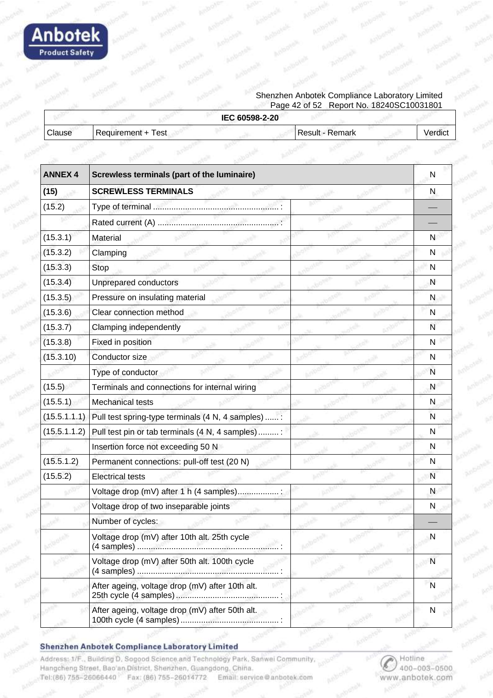

#### Shenzhen Anbotek Compliance Laboratory Limited Page 42 of 52 Report No. 18240SC10031801

|        |                    | IEC 60598-2-20  |         |
|--------|--------------------|-----------------|---------|
|        | Requirement + Test | Result - Remark | Verdict |
| Clause |                    |                 |         |

| <b>ANNEX 4</b> | Screwless terminals (part of the luminaire)        |          |  |
|----------------|----------------------------------------------------|----------|--|
| (15)           | <b>SCREWLESS TERMINALS</b>                         | N        |  |
| (15.2)         |                                                    |          |  |
|                |                                                    |          |  |
| (15.3.1)       | Material                                           | N        |  |
| (15.3.2)       | Clamping                                           | N        |  |
| (15.3.3)       | Stop                                               | N        |  |
| (15.3.4)       | Unprepared conductors                              | N        |  |
| (15.3.5)       | Pressure on insulating material                    | N        |  |
| (15.3.6)       | Clear connection method                            | N        |  |
| (15.3.7)       | Clamping independently                             | N        |  |
| (15.3.8)       | Fixed in position                                  | N        |  |
| (15.3.10)      | Conductor size                                     | N        |  |
|                | Type of conductor                                  | N        |  |
| (15.5)         | Terminals and connections for internal wiring      | N        |  |
| (15.5.1)       | Mechanical tests                                   | N        |  |
| (15.5.1.1.1)   | Pull test spring-type terminals (4 N, 4 samples) : | N        |  |
| (15.5.1.1.2)   | Pull test pin or tab terminals (4 N, 4 samples) :  | N        |  |
|                | Insertion force not exceeding 50 N                 | N        |  |
| (15.5.1.2)     | Permanent connections: pull-off test (20 N)        | N        |  |
| (15.5.2)       | <b>Electrical tests</b>                            | N        |  |
|                | Voltage drop (mV) after 1 h (4 samples)            | N        |  |
|                | Voltage drop of two inseparable joints             | N        |  |
|                | Number of cycles:                                  |          |  |
|                | Voltage drop (mV) after 10th alt. 25th cycle       | <b>N</b> |  |
|                | Voltage drop (mV) after 50th alt. 100th cycle      | N        |  |
|                | After ageing, voltage drop (mV) after 10th alt.    | N        |  |
|                | After ageing, voltage drop (mV) after 50th alt.    | N        |  |

#### Shenzhen Anbotek Compliance Laboratory Limited

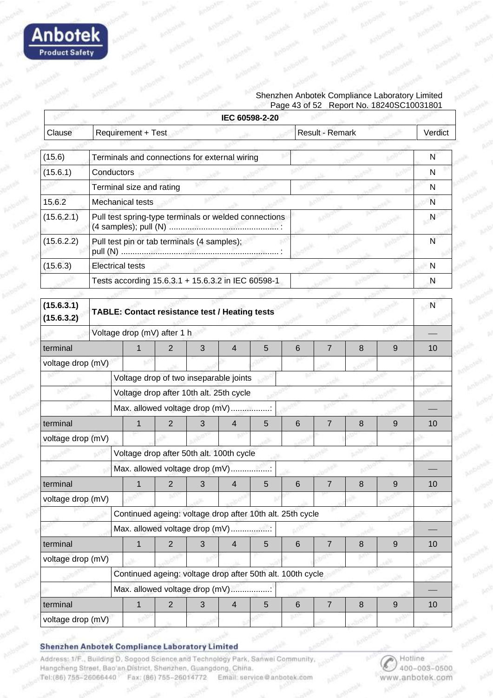

#### Shenzhen Anbotek Compliance Laboratory Limited Page 43 of 52 Report No. 18240SC10031801

|                          |                                                            |                |   |                | IEC 60598-2-20 |       |                 |   |                  |                |
|--------------------------|------------------------------------------------------------|----------------|---|----------------|----------------|-------|-----------------|---|------------------|----------------|
| Clause                   | Requirement + Test                                         |                |   |                |                |       | Result - Remark |   |                  | Verdict        |
| (15.6)                   | Terminals and connections for external wiring              |                |   |                |                |       |                 |   |                  | N              |
| (15.6.1)                 | Conductors                                                 |                |   |                |                |       |                 |   |                  | N              |
|                          | Terminal size and rating                                   |                |   |                |                |       |                 |   |                  | N              |
| 15.6.2                   | <b>Mechanical tests</b>                                    |                |   |                |                |       |                 |   |                  | N              |
| (15.6.2.1)               | Pull test spring-type terminals or welded connections      |                |   |                |                |       |                 |   | N                |                |
| (15.6.2.2)               | Pull test pin or tab terminals (4 samples);                |                |   |                |                |       | N               |   |                  |                |
| (15.6.3)                 | <b>Electrical tests</b>                                    |                |   |                |                |       |                 | N |                  |                |
|                          | Tests according 15.6.3.1 + 15.6.3.2 in IEC 60598-1         |                |   |                |                |       |                 | N |                  |                |
| (15.6.3.1)<br>(15.6.3.2) | TABLE: Contact resistance test / Heating tests             |                |   |                |                |       |                 |   |                  | $\overline{N}$ |
|                          | Voltage drop (mV) after 1 h                                |                |   |                |                |       |                 |   |                  |                |
| terminal                 |                                                            | 2              | 3 | $\overline{4}$ | 5              | 6     | $\overline{7}$  | 8 | 9                | 10             |
| voltage drop (mV)        |                                                            |                |   |                |                |       |                 |   |                  |                |
|                          | Voltage drop of two inseparable joints                     |                |   |                |                |       |                 |   |                  |                |
|                          | Voltage drop after 10th alt. 25th cycle                    |                |   |                |                |       |                 |   |                  |                |
|                          | Max. allowed voltage drop (mV)                             |                |   |                |                |       |                 |   |                  |                |
| terminal                 |                                                            | 2              | 3 | $\overline{4}$ | 5              | 6     | 7               | 8 | 9                | 10             |
| voltage drop (mV)        |                                                            |                |   |                |                |       |                 |   |                  |                |
|                          | Voltage drop after 50th alt. 100th cycle                   |                |   |                |                |       |                 |   |                  |                |
|                          | Max. allowed voltage drop (mV)                             |                |   |                |                |       |                 |   |                  |                |
| terminal                 |                                                            | 2 <sup>7</sup> | 3 | 4              | 5              | 6     |                 | 8 | 9                | 10             |
| voltage drop (mV)        |                                                            |                |   |                |                |       |                 |   |                  |                |
|                          | Continued ageing: voltage drop after 10th alt. 25th cycle  |                |   |                |                |       |                 |   |                  |                |
|                          | Max. allowed voltage drop (mV)                             |                |   |                |                |       |                 |   |                  |                |
| terminal                 | 1                                                          | $\overline{2}$ | 3 | $\overline{4}$ | 5              | 6     | $\overline{7}$  | 8 | $9\,$            | 10             |
| voltage drop (mV)        |                                                            |                |   |                |                |       |                 |   |                  |                |
|                          | Continued ageing: voltage drop after 50th alt. 100th cycle |                |   |                |                |       |                 |   |                  |                |
|                          | Max. allowed voltage drop (mV)                             |                |   |                |                |       |                 |   |                  |                |
| terminal                 | $\mathbf 1$                                                | $\overline{2}$ | 3 | $\overline{4}$ | 5              | $\,6$ | $\overline{7}$  | 8 | $\boldsymbol{9}$ | 10             |
| voltage drop (mV)        |                                                            |                |   |                |                |       |                 |   |                  |                |

Shenzhen Anbotek Compliance Laboratory Limited

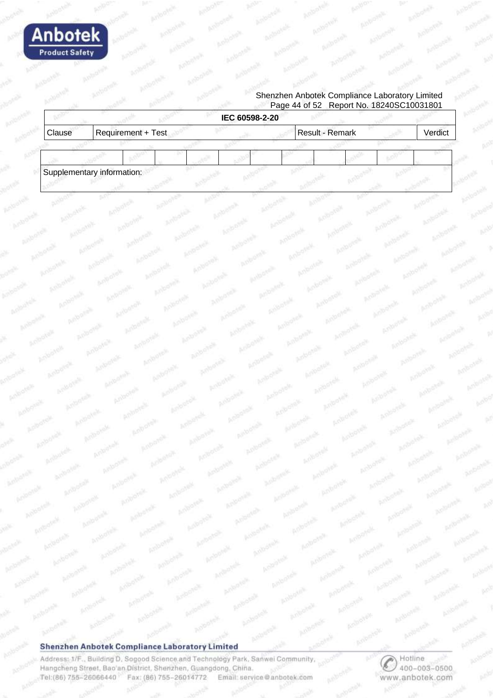

#### Shenzhen Anbotek Compliance Laboratory Limited Page 44 of 52 Report No. 18240SC10031801

| Clause                     | Requirement + Test |  |  | Result - Remark |  | Verdict |
|----------------------------|--------------------|--|--|-----------------|--|---------|
|                            |                    |  |  |                 |  |         |
| Supplementary information: |                    |  |  |                 |  |         |

#### Shenzhen Anbotek Compliance Laboratory Limited

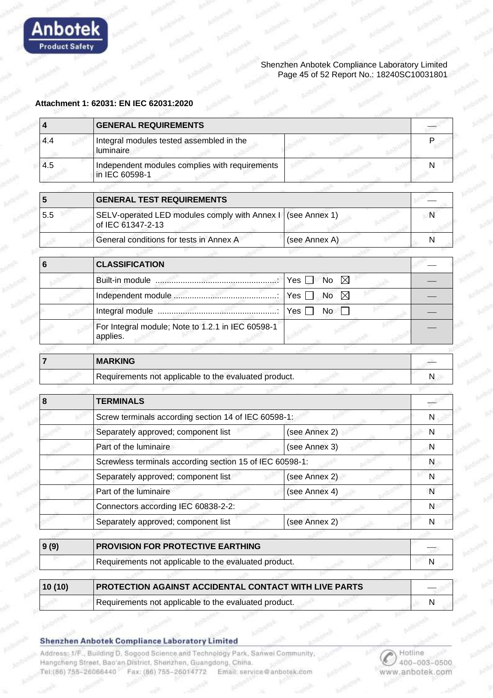

#### Shenzhen Anbotek Compliance Laboratory Limited Page 45 of 52 Report No.: 18240SC10031801

#### **Attachment 1: 62031: EN IEC 62031:2020**

| 4      | <b>GENERAL REQUIREMENTS</b>                                        |                                 |    |
|--------|--------------------------------------------------------------------|---------------------------------|----|
| 4.4    | Integral modules tested assembled in the<br>luminaire              |                                 | P  |
| 4.5    | Independent modules complies with requirements<br>in IEC 60598-1   |                                 | N  |
|        |                                                                    |                                 |    |
| 5      | <b>GENERAL TEST REQUIREMENTS</b>                                   |                                 |    |
| 5.5    | SELV-operated LED modules comply with Annex I<br>of IEC 61347-2-13 | (see Annex 1)                   | N  |
|        | General conditions for tests in Annex A                            | (see Annex A)                   | N  |
| 6      | <b>CLASSIFICATION</b>                                              |                                 |    |
|        |                                                                    | $\boxtimes$<br>Yes<br><b>No</b> |    |
|        |                                                                    | $\boxtimes$<br>Yes<br>No        |    |
|        |                                                                    | Yes<br>No                       |    |
|        | For Integral module; Note to 1.2.1 in IEC 60598-1<br>applies.      |                                 |    |
| 7      | <b>MARKING</b>                                                     |                                 |    |
|        | Requirements not applicable to the evaluated product.              |                                 | N. |
| 8      | <b>TERMINALS</b>                                                   |                                 |    |
|        | Screw terminals according section 14 of IEC 60598-1:               |                                 | N  |
|        | Separately approved; component list                                | (see Annex 2)                   | N  |
|        | Part of the luminaire                                              | (see Annex 3)                   | N  |
|        | Screwless terminals according section 15 of IEC 60598-1:           |                                 | N  |
|        | Separately approved; component list                                | (see Annex 2)                   | N  |
|        | Part of the luminaire                                              | (see Annex 4)                   | N  |
|        | Connectors according IEC 60838-2-2:                                |                                 | N  |
|        | Separately approved; component list                                | (see Annex 2)                   | N  |
| 9(9)   | PROVISION FOR PROTECTIVE EARTHING                                  |                                 |    |
|        | Requirements not applicable to the evaluated product.              |                                 | N  |
| 10(10) | PROTECTION AGAINST ACCIDENTAL CONTACT WITH LIVE PARTS              |                                 |    |
|        | Requirements not applicable to the evaluated product.              |                                 | N  |

**Shenzhen Anbotek Compliance Laboratory Limited**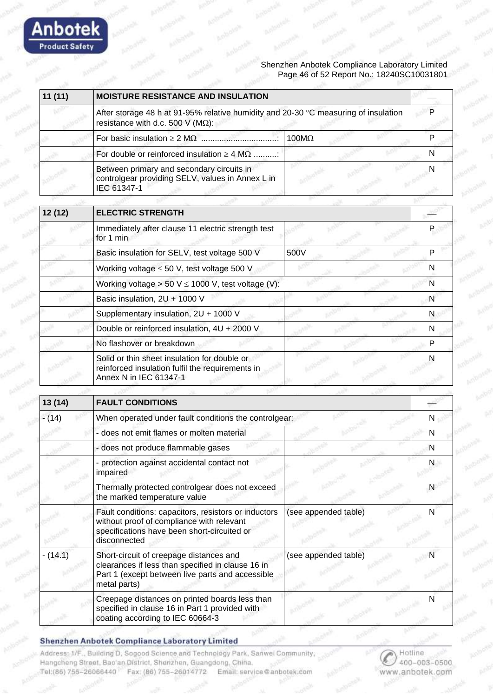

| 11(11) | <b>MOISTURE RESISTANCE AND INSULATION</b>                                                                                        |              |  |
|--------|----------------------------------------------------------------------------------------------------------------------------------|--------------|--|
|        | After storage 48 h at 91-95% relative humidity and 20-30 °C measuring of insulation<br>resistance with d.c. 500 V ( $M\Omega$ ): |              |  |
|        |                                                                                                                                  | $100M\Omega$ |  |
|        | For double or reinforced insulation $\geq 4$ M $\Omega$                                                                          |              |  |
|        | Between primary and secondary circuits in<br>controlgear providing SELV, values in Annex L in<br>IEC 61347-1                     |              |  |

| 12 (12) | <b>ELECTRIC STRENGTH</b>                                                                                                   |      |   |
|---------|----------------------------------------------------------------------------------------------------------------------------|------|---|
|         | Immediately after clause 11 electric strength test<br>for 1 min                                                            |      |   |
|         | Basic insulation for SELV, test voltage 500 V                                                                              | 500V |   |
|         | Working voltage $\leq 50$ V, test voltage 500 V                                                                            |      |   |
|         | Working voltage > 50 V $\leq$ 1000 V, test voltage (V):                                                                    |      | N |
|         | Basic insulation, 2U + 1000 V                                                                                              |      | N |
|         | Supplementary insulation, 2U + 1000 V                                                                                      |      | N |
|         | Double or reinforced insulation, 4U + 2000 V                                                                               |      | N |
|         | No flashover or breakdown                                                                                                  |      |   |
|         | Solid or thin sheet insulation for double or<br>reinforced insulation fulfil the requirements in<br>Annex N in IEC 61347-1 |      |   |

| 13(14)     | <b>FAULT CONDITIONS</b>                                                                                                                                          |                      |   |
|------------|------------------------------------------------------------------------------------------------------------------------------------------------------------------|----------------------|---|
| $- (14)$   | When operated under fault conditions the controlgear:                                                                                                            |                      |   |
|            | - does not emit flames or molten material                                                                                                                        |                      | N |
|            | - does not produce flammable gases                                                                                                                               |                      | N |
|            | - protection against accidental contact not<br>impaired                                                                                                          |                      |   |
|            | Thermally protected controlgear does not exceed<br>the marked temperature value                                                                                  |                      | N |
|            | Fault conditions: capacitors, resistors or inductors<br>without proof of compliance with relevant<br>specifications have been short-circuited or<br>disconnected | (see appended table) |   |
| $- (14.1)$ | Short-circuit of creepage distances and<br>clearances if less than specified in clause 16 in<br>Part 1 (except between live parts and accessible<br>metal parts) | (see appended table) |   |
|            | Creepage distances on printed boards less than<br>specified in clause 16 in Part 1 provided with<br>coating according to IEC 60664-3                             |                      |   |

#### **Shenzhen Anbotek Compliance Laboratory Limited**

Anbotek **Product Safety**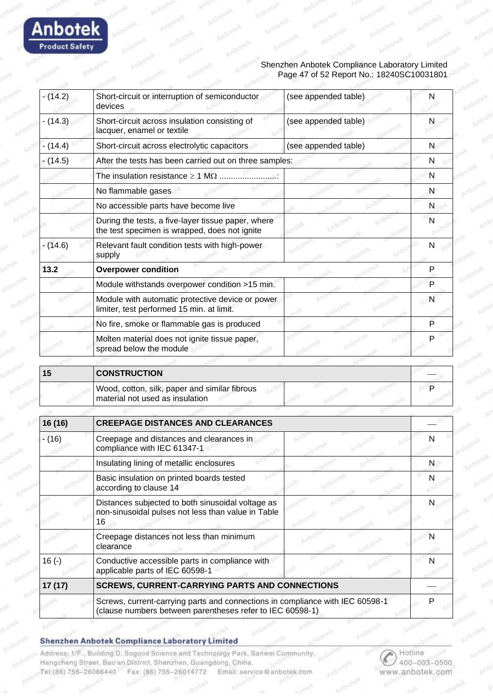

| $-(14.2)$ | Short-circuit or interruption of semiconductor<br>devices                                                     | (see appended table) | N |
|-----------|---------------------------------------------------------------------------------------------------------------|----------------------|---|
| $-(14.3)$ | Short-circuit across insulation consisting of<br>lacquer, enamel or textile                                   | (see appended table) | N |
| $-(14.4)$ | Short-circuit across electrolytic capacitors                                                                  | (see appended table) | N |
| $-(14.5)$ | After the tests has been carried out on three samples:                                                        |                      | N |
|           | The insulation resistance $\geq 1$ M $\Omega$                                                                 |                      | N |
|           | No flammable gases                                                                                            |                      | N |
|           | No accessible parts have become live                                                                          |                      | N |
|           | During the tests, a five-layer tissue paper, where<br>the test specimen is wrapped, does not ignite           |                      | N |
| $-(14.6)$ | Relevant fault condition tests with high-power<br>supply                                                      |                      | N |
| 13.2      | <b>Overpower condition</b>                                                                                    |                      | P |
|           | Module withstands overpower condition >15 min.                                                                |                      | P |
|           | Module with automatic protective device or power<br>limiter, test performed 15 min. at limit.                 |                      | N |
|           | No fire, smoke or flammable gas is produced                                                                   |                      | P |
|           | Molten material does not ignite tissue paper,<br>spread below the module                                      |                      | P |
|           |                                                                                                               |                      |   |
| 15        | <b>CONSTRUCTION</b>                                                                                           |                      |   |
|           | Wood, cotton, silk, paper and similar fibrous<br>material not used as insulation                              |                      | P |
|           |                                                                                                               |                      |   |
| 16 (16)   | <b>CREEPAGE DISTANCES AND CLEARANCES</b>                                                                      |                      |   |
| $-(16)$   | Creepage and distances and clearances in<br>compliance with IEC 61347-1                                       |                      | N |
|           | Insulating lining of metallic enclosures                                                                      |                      | N |
|           | Basic insulation on printed boards tested<br>according to clause 14                                           |                      | N |
|           | Distances subjected to both sinusoidal voltage as<br>non-sinusoidal pulses not less than value in Table<br>16 |                      | N |
|           |                                                                                                               |                      |   |

|         | Creepage distances not less than minimum<br>clearance                                                                                      |  |
|---------|--------------------------------------------------------------------------------------------------------------------------------------------|--|
| $16(-)$ | Conductive accessible parts in compliance with<br>applicable parts of IEC 60598-1                                                          |  |
| 17(17)  | <b>SCREWS, CURRENT-CARRYING PARTS AND CONNECTIONS</b>                                                                                      |  |
|         | Screws, current-carrying parts and connections in compliance with IEC 60598-1<br>(clause numbers between parentheses refer to IEC 60598-1) |  |

**Shenzhen Anbotek Compliance Laboratory Limited** 

**Anbotek Product Safety** 

> Address: 1/F., Building D. Sogood Science and Technology Park, Sanwei Community, Hangcheng Street, Bao'an District, Sherizhen, Guangdong, China. Tel:(86) 755-26066440 Fax: (86) 755-26014772 Email: service@anbotek.com

Hotline 400-003-0500 www.anbotek.com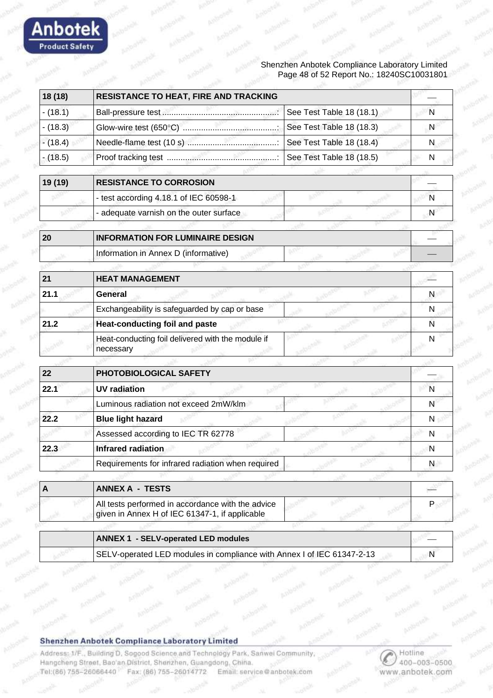

#### Shenzhen Anbotek Compliance Laboratory Limited Page 48 of 52 Report No.: 18240SC10031801

| 18 (18)    | <b>RESISTANCE TO HEAT, FIRE AND TRACKING</b>                                                        |                          |   |
|------------|-----------------------------------------------------------------------------------------------------|--------------------------|---|
| $- (18.1)$ |                                                                                                     | See Test Table 18 (18.1) | N |
| $- (18.3)$ |                                                                                                     | See Test Table 18 (18.3) | N |
| $-(18.4)$  |                                                                                                     | See Test Table 18 (18.4) | N |
| $- (18.5)$ |                                                                                                     | See Test Table 18 (18.5) | N |
|            |                                                                                                     |                          |   |
| 19 (19)    | <b>RESISTANCE TO CORROSION</b>                                                                      |                          |   |
|            | - test according 4.18.1 of IEC 60598-1                                                              |                          | N |
|            | - adequate varnish on the outer surface                                                             |                          | N |
| 20         | <b>INFORMATION FOR LUMINAIRE DESIGN</b>                                                             |                          |   |
|            | Information in Annex D (informative)                                                                |                          |   |
|            |                                                                                                     |                          |   |
| 21         | <b>HEAT MANAGEMENT</b>                                                                              |                          |   |
| 21.1       | <b>General</b>                                                                                      |                          | N |
|            | Exchangeability is safeguarded by cap or base                                                       |                          | N |
| 21.2       | <b>Heat-conducting foil and paste</b>                                                               |                          | N |
|            | Heat-conducting foil delivered with the module if<br>necessary                                      |                          | N |
|            |                                                                                                     |                          |   |
| 22         | PHOTOBIOLOGICAL SAFETY                                                                              |                          |   |
| 22.1       | <b>UV</b> radiation                                                                                 |                          | N |
|            | Luminous radiation not exceed 2mW/klm                                                               |                          | N |
| 22.2       | <b>Blue light hazard</b>                                                                            |                          | N |
|            | Assessed according to IEC TR 62778                                                                  |                          | N |
| 22.3       | <b>Infrared radiation</b>                                                                           |                          | N |
|            | Requirements for infrared radiation when required                                                   |                          | N |
|            |                                                                                                     |                          |   |
| A          | <b>ANNEX A - TESTS</b>                                                                              |                          |   |
|            | All tests performed in accordance with the advice<br>given in Annex H of IEC 61347-1, if applicable |                          | P |
|            |                                                                                                     |                          |   |
|            | <b>ANNEX 1 - SELV-operated LED modules</b>                                                          |                          |   |
|            | SELV-operated LED modules in compliance with Annex I of IEC 61347-2-13                              |                          | N |

#### **Shenzhen Anbotek Compliance Laboratory Limited**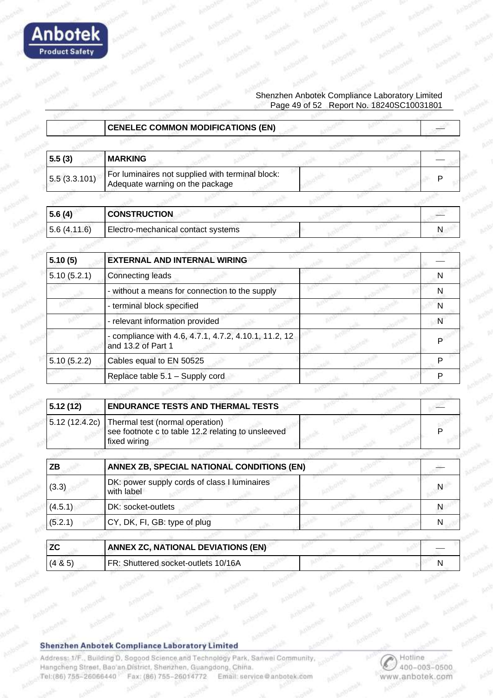

|                | <b>CENELEC COMMON MODIFICATIONS (EN)</b>                                                              |   |
|----------------|-------------------------------------------------------------------------------------------------------|---|
|                |                                                                                                       |   |
| 5.5(3)         | <b>MARKING</b>                                                                                        |   |
| 5.5(3.3.101)   | For luminaires not supplied with terminal block:<br>Adequate warning on the package                   | Р |
|                |                                                                                                       |   |
| 5.6(4)         | <b>CONSTRUCTION</b>                                                                                   |   |
| 5.6(4.11.6)    | Electro-mechanical contact systems                                                                    | N |
|                |                                                                                                       |   |
| 5.10(5)        | <b>EXTERNAL AND INTERNAL WIRING</b>                                                                   |   |
| 5.10(5.2.1)    | <b>Connecting leads</b>                                                                               | N |
|                | - without a means for connection to the supply                                                        | N |
|                | - terminal block specified                                                                            | N |
|                | - relevant information provided                                                                       | N |
|                | - compliance with 4.6, 4.7.1, 4.7.2, 4.10.1, 11.2, 12<br>and 13.2 of Part 1                           | P |
| 5.10(5.2.2)    | Cables equal to EN 50525                                                                              | P |
|                | Replace table 5.1 - Supply cord                                                                       | P |
|                |                                                                                                       |   |
| 5.12(12)       | <b>ENDURANCE TESTS AND THERMAL TESTS</b>                                                              |   |
| 5.12 (12.4.2c) | Thermal test (normal operation)<br>see footnote c to table 12.2 relating to unsleeved<br>fixed wiring |   |
|                |                                                                                                       |   |
| ZB             | ANNEX ZB, SPECIAL NATIONAL CONDITIONS (EN)                                                            |   |
| (3.3)          | DK: power supply cords of class I luminaires<br>with label                                            | N |
| (4.5.1)        | DK: socket-outlets                                                                                    | N |
| (5.2.1)        | CY, DK, FI, GB: type of plug                                                                          | N |
|                |                                                                                                       |   |
| <b>ZC</b>      | <b>ANNEX ZC, NATIONAL DEVIATIONS (EN)</b>                                                             |   |
| (4 & 5)        | FR: Shuttered socket-outlets 10/16A                                                                   | N |

**Shenzhen Anbotek Compliance Laboratory Limited** 

**Anbotek** 

**Product Safety** 

Address: 1/F., Building D. Sogood Science and Technology Park, Sanwei Community, Hangcheng Street, Bao'an District, Shenzhen, Guangdong, China. Tel:(86) 755-26066440 Fax: (86) 755-26014772 Email: service@anbotek.com

Hotline 400-003-0500 www.anbotek.com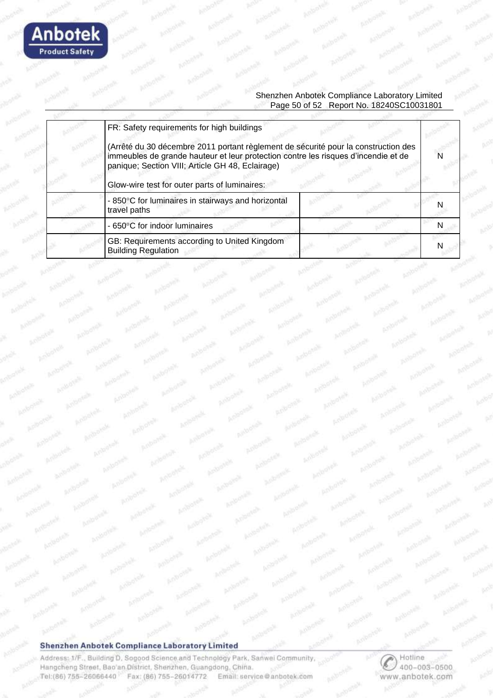

#### Shenzhen Anbotek Compliance Laboratory Limited Page 50 of 52 Report No. 18240SC10031801

| FR: Safety requirements for high buildings                                                                                                                                                                                                                                    |  |
|-------------------------------------------------------------------------------------------------------------------------------------------------------------------------------------------------------------------------------------------------------------------------------|--|
| (Arrêté du 30 décembre 2011 portant règlement de sécurité pour la construction des<br>immeubles de grande hauteur et leur protection contre les risques d'incendie et de<br>panique; Section VIII; Article GH 48, Eclairage)<br>Glow-wire test for outer parts of luminaires: |  |
| - 850°C for luminaires in stairways and horizontal<br>travel paths                                                                                                                                                                                                            |  |
| - 650°C for indoor luminaires                                                                                                                                                                                                                                                 |  |
| GB: Requirements according to United Kingdom<br><b>Building Regulation</b>                                                                                                                                                                                                    |  |

#### **Shenzhen Anbotek Compliance Laboratory Limited**

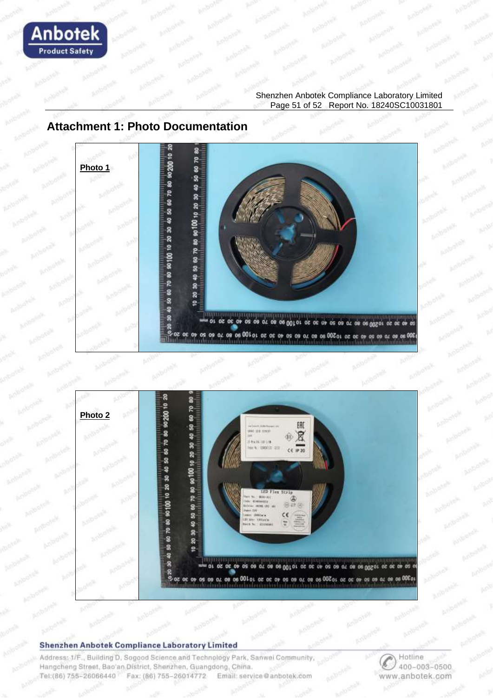

#### Shenzhen Anbotek Compliance Laboratory Limited Page 51 of 52 Report No. 18240SC10031801

### **Attachment 1: Photo Documentation**





#### Shenzhen Anbotek Compliance Laboratory Limited

Address: 1/F., Building D, Sogood Science and Technology Park, Sanwei Community, Hangcheng Street, Bao'an District, Shenzhen, Guangdong, China. Tel:(86) 755-26066440 Fax: (86) 755-26014772 Email: service@anbotek.com

 $\overline{\mathcal{C}}$ Hotline 400-003-0500 www.anbotek.com